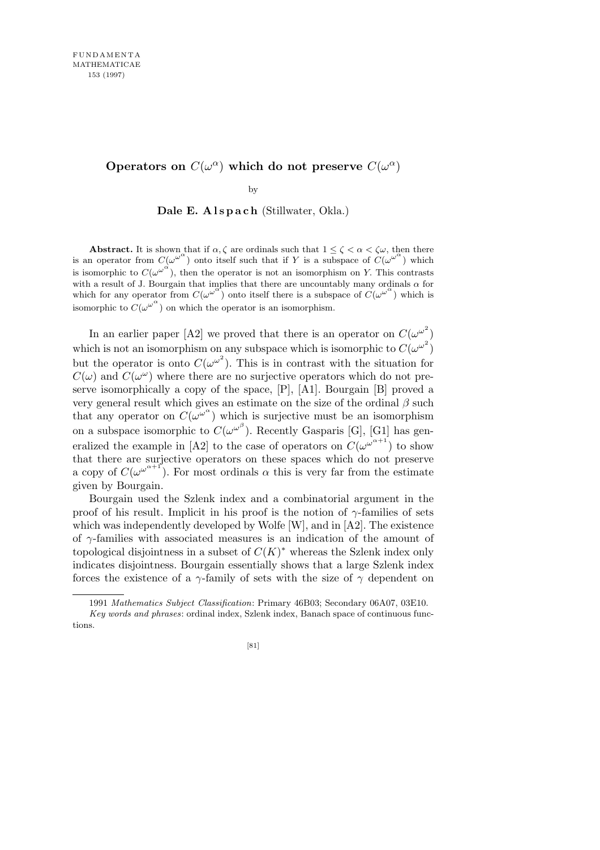## **Operators on**  $C(\omega^{\alpha})$  which do not preserve  $C(\omega^{\alpha})$

by

Dale E. A l s p a c h (Stillwater, Okla.)

**Abstract.** It is shown that if  $\alpha, \zeta$  are ordinals such that  $1 \leq \zeta < \alpha < \zeta \omega$ , then there is an operator from  $C(\omega^{\omega^{\alpha}})$  onto itself such that if *Y* is a subspace of  $C(\omega^{\omega^{\alpha}})$  which is isomorphic to  $C(\omega^{\omega^{\alpha}})$ , then the operator is not an isomorphism on *Y*. This contrasts with a result of J. Bourgain that implies that there are uncountably many ordinals  $\alpha$  for which for any operator from  $C(\omega^{\omega^{\alpha}})$  onto itself there is a subspace of  $C(\omega^{\omega^{\alpha}})$  which is isomorphic to  $C(\omega^{\omega^{\alpha}})$  on which the operator is an isomorphism.

In an earlier paper [A2] we proved that there is an operator on  $C(\omega^{\omega^2})$ which is not an isomorphism on any subspace which is isomorphic to  $C(\omega^{\omega^2})$ but the operator is onto  $C(\omega^{\omega^2})$ . This is in contrast with the situation for  $C(\omega)$  and  $C(\omega^{\omega})$  where there are no surjective operators which do not preserve isomorphically a copy of the space, [P], [A1]. Bourgain [B] proved a very general result which gives an estimate on the size of the ordinal *β* such that any operator on  $C(\omega^{\omega^{\alpha}})$  which is surjective must be an isomorphism on a subspace isomorphic to  $C(\omega^{\omega^{\beta}})$ . Recently Gasparis [G], [G1] has generalized the example in [A2] to the case of operators on  $C(\omega^{\omega^{\alpha+1}})$  to show that there are surjective operators on these spaces which do not preserve a copy of  $C(\omega^{\omega^{\alpha+1}})$ . For most ordinals  $\alpha$  this is very far from the estimate given by Bourgain.

Bourgain used the Szlenk index and a combinatorial argument in the proof of his result. Implicit in his proof is the notion of *γ*-families of sets which was independently developed by Wolfe [W], and in [A2]. The existence of *γ*-families with associated measures is an indication of the amount of topological disjointness in a subset of *C*(*K*) *<sup>∗</sup>* whereas the Szlenk index only indicates disjointness. Bourgain essentially shows that a large Szlenk index forces the existence of a  $\gamma$ -family of sets with the size of  $\gamma$  dependent on

<sup>1991</sup> *Mathematics Subject Classification*: Primary 46B03; Secondary 06A07, 03E10. *Key words and phrases*: ordinal index, Szlenk index, Banach space of continuous functions.

<sup>[81]</sup>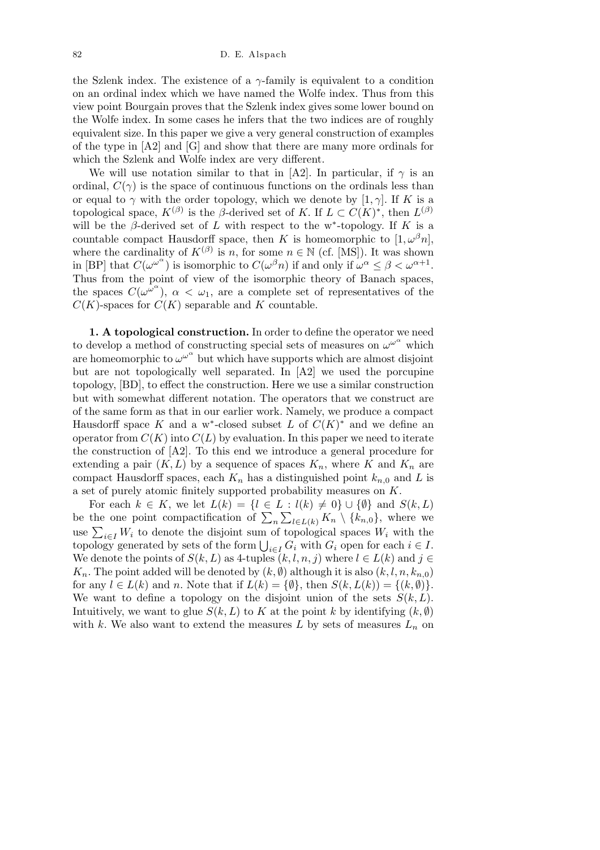the Szlenk index. The existence of a *γ*-family is equivalent to a condition on an ordinal index which we have named the Wolfe index. Thus from this view point Bourgain proves that the Szlenk index gives some lower bound on the Wolfe index. In some cases he infers that the two indices are of roughly equivalent size. In this paper we give a very general construction of examples of the type in  $[A2]$  and  $[G]$  and show that there are many more ordinals for which the Szlenk and Wolfe index are very different.

We will use notation similar to that in [A2]. In particular, if  $\gamma$  is an ordinal,  $C(\gamma)$  is the space of continuous functions on the ordinals less than or equal to  $\gamma$  with the order topology, which we denote by [1,  $\gamma$ ]. If *K* is a topological space,  $K^{(\beta)}$  is the *β*-derived set of *K*. If  $L \subset C(K)^*$ , then  $L^{(\beta)}$ will be the  $\beta$ -derived set of *L* with respect to the w<sup>\*</sup>-topology. If *K* is a countable compact Hausdorff space, then *K* is homeomorphic to  $[1, \omega^{\beta}n]$ , where the cardinality of  $K^{(\beta)}$  is *n*, for some  $n \in \mathbb{N}$  (cf. [MS]). It was shown in [BP] that  $C(\omega^{\omega^{\alpha}})$  is isomorphic to  $C(\omega^{\beta}n)$  if and only if  $\omega^{\alpha} \leq \beta < \omega^{\alpha+1}$ . Thus from the point of view of the isomorphic theory of Banach spaces, the spaces  $C(\omega^{\omega^{\alpha}})$ ,  $\alpha < \omega_1$ , are a complete set of representatives of the  $C(K)$ -spaces for  $C(K)$  separable and *K* countable.

**1. A topological construction.** In order to define the operator we need to develop a method of constructing special sets of measures on  $\omega^{\omega^{\alpha}}$  which are homeomorphic to  $\omega^{\omega^{\alpha}}$  but which have supports which are almost disjoint but are not topologically well separated. In [A2] we used the porcupine topology, [BD], to effect the construction. Here we use a similar construction but with somewhat different notation. The operators that we construct are of the same form as that in our earlier work. Namely, we produce a compact Hausdorff space *K* and a w<sup>\*</sup>-closed subset *L* of  $C(K)^*$  and we define an operator from  $C(K)$  into  $C(L)$  by evaluation. In this paper we need to iterate the construction of [A2]. To this end we introduce a general procedure for extending a pair  $(K, L)$  by a sequence of spaces  $K_n$ , where K and  $K_n$  are compact Hausdorff spaces, each  $K_n$  has a distinguished point  $k_{n,0}$  and L is a set of purely atomic finitely supported probability measures on *K*.

For each  $k \in K$ , we let  $L(k) = \{l \in L : l(k) \neq 0\} \cup \{\emptyset\}$  and  $S(k, L)$ be the one point compactification of  $\sum_{n}\sum_{l\in L(k)} K_n \setminus \{k_{n,0}\}$ , where we  $\sum_{i\in I} W_i$  to denote the disjoint sum of topological spaces  $W_i$  with the topology generated by sets of the form  $\bigcup_{i \in I} G_i$  with  $G_i$  open for each  $i \in I$ . We denote the points of  $S(k, L)$  as 4-tuples  $(k, l, n, j)$  where  $l \in L(k)$  and  $j \in$  $K_n$ . The point added will be denoted by  $(k, \emptyset)$  although it is also  $(k, l, n, k_{n,0})$ for any  $l \in L(k)$  and *n*. Note that if  $L(k) = \{\emptyset\}$ , then  $S(k, L(k)) = \{(k, \emptyset)\}$ . We want to define a topology on the disjoint union of the sets  $S(k, L)$ . Intuitively, we want to glue  $S(k, L)$  to  $K$  at the point  $k$  by identifying  $(k, \emptyset)$ with *k*. We also want to extend the measures L by sets of measures  $L_n$  on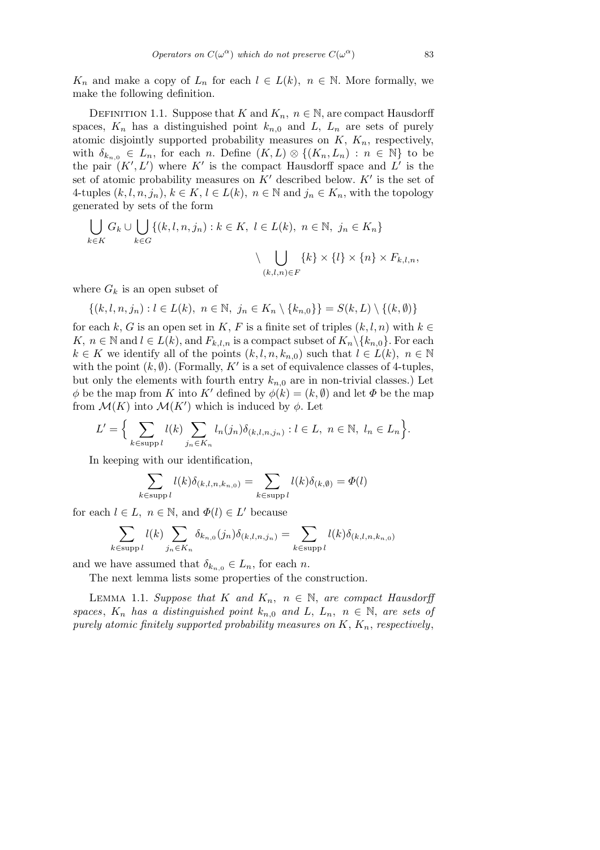*K<sub>n</sub>* and make a copy of  $L_n$  for each  $l \in L(k)$ ,  $n \in \mathbb{N}$ . More formally, we make the following definition.

DEFINITION 1.1. Suppose that *K* and  $K_n$ ,  $n \in \mathbb{N}$ , are compact Hausdorff spaces,  $K_n$  has a distinguished point  $k_{n,0}$  and  $L$ ,  $L_n$  are sets of purely atomic disjointly supported probability measures on *K*, *Kn*, respectively, with  $\delta_{k_{n,0}} \in L_n$ , for each *n*. Define  $(K, L) \otimes \{(K_n, L_n) : n \in \mathbb{N}\}\)$  to be the pair  $(K', L')$  where  $K'$  is the compact Hausdorff space and  $L'$  is the set of atomic probability measures on  $K'$  described below.  $K'$  is the set of 4-tuples  $(k, l, n, j_n)$ ,  $k \in K$ ,  $l \in L(k)$ ,  $n \in \mathbb{N}$  and  $j_n \in K_n$ , with the topology generated by sets of the form

$$
\bigcup_{k \in K} G_k \cup \bigcup_{k \in G} \{(k, l, n, j_n) : k \in K, l \in L(k), n \in \mathbb{N}, j_n \in K_n\}
$$

$$
\setminus \bigcup_{(k, l, n) \in F} \{k\} \times \{l\} \times \{n\} \times F_{k, l, n},
$$

where  $G_k$  is an open subset of

 $\{(k, l, n, j_n): l \in L(k), n \in \mathbb{N}, j_n \in K_n \setminus \{k_{n,0}\}\}=S(k, L) \setminus \{(k, \emptyset)\}$ 

for each *k*, *G* is an open set in *K*, *F* is a finite set of triples  $(k, l, n)$  with  $k \in$ *K, n* ∈ N and *l* ∈ *L*(*k*), and  $F_{k,l,n}$  is a compact subset of  $K_n \setminus \{k_{n,0}\}$ . For each *k* ∈ *K* we identify all of the points  $(k, l, n, k_{n,0})$  such that  $l \in L(k)$ ,  $n \in \mathbb{N}$ with the point  $(k, \emptyset)$ . (Formally, K' is a set of equivalence classes of 4-tuples, but only the elements with fourth entry  $k_{n,0}$  are in non-trivial classes.) Let *φ* be the map from *K* into *K'* defined by  $φ(k) = (k, \emptyset)$  and let  $Φ$  be the map from  $\mathcal{M}(K)$  into  $\mathcal{M}(K')$  which is induced by  $\phi$ . Let

$$
L' = \Big\{\sum_{k \in \text{supp }l} l(k) \sum_{j_n \in K_n} l_n(j_n) \delta_{(k,l,n,j_n)} : l \in L, n \in \mathbb{N}, l_n \in L_n \Big\}.
$$

In keeping with our identification,

$$
\sum_{k \in \text{supp } l} l(k) \delta_{(k,l,n,k_{n,0})} = \sum_{k \in \text{supp } l} l(k) \delta_{(k,\emptyset)} = \Phi(l)
$$

for each  $l \in L$ ,  $n \in \mathbb{N}$ , and  $\Phi(l) \in L'$  because

$$
\sum_{k \in \text{supp } l} l(k) \sum_{j_n \in K_n} \delta_{k_{n,0}}(j_n) \delta_{(k,l,n,j_n)} = \sum_{k \in \text{supp } l} l(k) \delta_{(k,l,n,k_{n,0})}
$$

and we have assumed that  $\delta_{k_{n,0}} \in L_n$ , for each *n*.

The next lemma lists some properties of the construction.

LEMMA 1.1. *Suppose that*  $K$  *and*  $K_n$ ,  $n \in \mathbb{N}$ , *are compact Hausdorff spaces,*  $K_n$  *has a distinguished point*  $k_{n,0}$  *and*  $L$ *,*  $L_n$ *,*  $n \in \mathbb{N}$ *, are sets of purely atomic finitely supported probability measures on K*, *Kn*, *respectively*,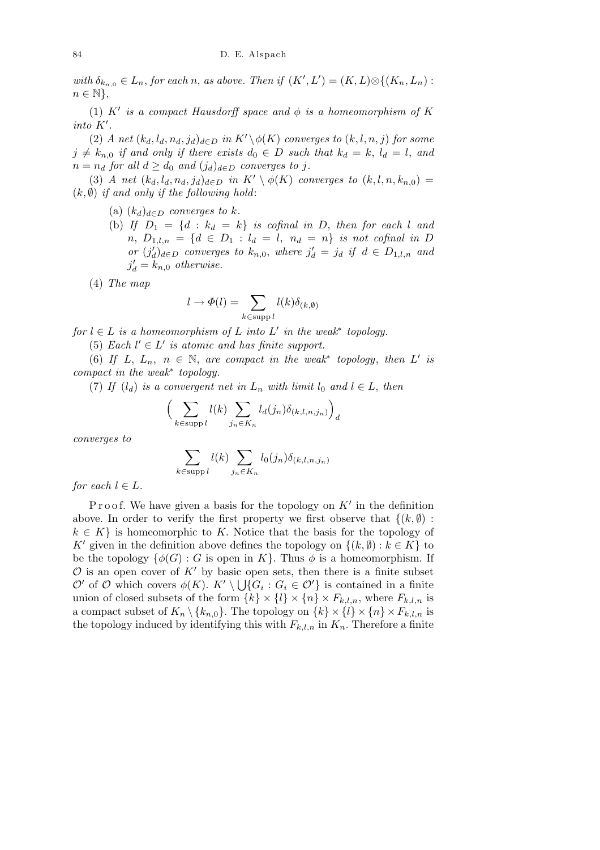*with*  $\delta_{k_{n,0}} \in L_n$ , *for each n, as above. Then if*  $(K', L') = (K, L) \otimes \{(K_n, L_n) :$ *n ∈* N*}*,

(1)  $K'$  is a compact Hausdorff space and  $\phi$  is a homeomorphism of  $K$  $int\ o K$ <sup>*.*</sup>

(2) *A* net  $(k_d, l_d, n_d, j_d)_{d \in D}$  in  $K' \setminus \phi(K)$  converges to  $(k, l, n, j)$  for some  $j \neq k_{n,0}$  *if and only if there exists*  $d_0 \in D$  *such that*  $k_d = k$ ,  $l_d = l$ , and  $n = n_d$  *for all*  $d \geq d_0$  *and*  $(j_d)_{d \in D}$  *converges to j*.

(3) *A* net  $(k_d, l_d, n_d, j_d)_{d \in D}$  in  $K' \setminus \phi(K)$  converges to  $(k, l, n, k_{n,0}) =$  $(k, \emptyset)$  *if and only if the following hold*:

(a)  $(k_d)_{d \in D}$  *converges to*  $k$ *.* 

(b) If  $D_1 = \{d : k_d = k\}$  is cofinal in D, then for each *l* and  $n, D_{1,l,n} = \{d \in D_1 : l_d = l, n_d = n\}$  *is not cofinal in D or*  $(j'_d)_{d \in D}$  *converges to*  $k_{n,0}$ *, where*  $j'_d = j_d$  *if*  $d \in D_{1,l,n}$  *and*  $j'_d = k_{n,0}$  *otherwise.* 

(4) *The map*

$$
l \to \Phi(l) = \sum_{k \in \text{supp } l} l(k) \delta_{(k, \emptyset)}
$$

*for*  $l \in L$  *is a homeomorphism of*  $L$  *into*  $L'$  *in the weak\* topology.* 

(5) *Each*  $l' \in L'$  *is atomic and has finite support.* 

(6) If *L*,  $L_n$ ,  $n \in \mathbb{N}$ , are compact in the weak<sup>\*</sup> topology, then *L'* is *compact in the weak<sup>∗</sup> topology.*

(7) If  $(l_d)$  is a convergent net in  $L_n$  with limit  $l_0$  and  $l \in L$ , then

$$
\Big(\sum_{k \in \text{supp } l} l(k) \sum_{j_n \in K_n} l_d(j_n) \delta_{(k,l,n,j_n)} \Big)_d
$$

*converges to*

$$
\sum_{k \in \text{supp } l} l(k) \sum_{j_n \in K_n} l_0(j_n) \delta_{(k,l,n,j_n)}
$$

*for each*  $l \in L$ *.* 

P r o o f. We have given a basis for the topology on  $K'$  in the definition above. In order to verify the first property we first observe that  $\{(k, \emptyset)$ :  $k \in K$  is homeomorphic to *K*. Notice that the basis for the topology of *K*<sup>*i*</sup> given in the definition above defines the topology on  $\{(k, \emptyset) : k \in K\}$  to be the topology  $\{\phi(G): G$  is open in K}. Thus  $\phi$  is a homeomorphism. If  $\mathcal{O}$  is an open cover of  $K'$  by basic open sets, then there is a finite subset *O*<sup>*'*</sup> of *O* which covers  $\phi(K)$ .  $K' \setminus \bigcup \{G_i : G_i \in \mathcal{O}'\}$  is contained in a finite union of closed subsets of the form  $\{k\} \times \{l\} \times \{n\} \times F_{k,l,n}$ , where  $F_{k,l,n}$  is a compact subset of  $K_n \setminus \{k_{n,0}\}$ . The topology on  $\{k\} \times \{l\} \times \{n\} \times F_{k,l,n}$  is the topology induced by identifying this with  $F_{k,l,n}$  in  $K_n$ . Therefore a finite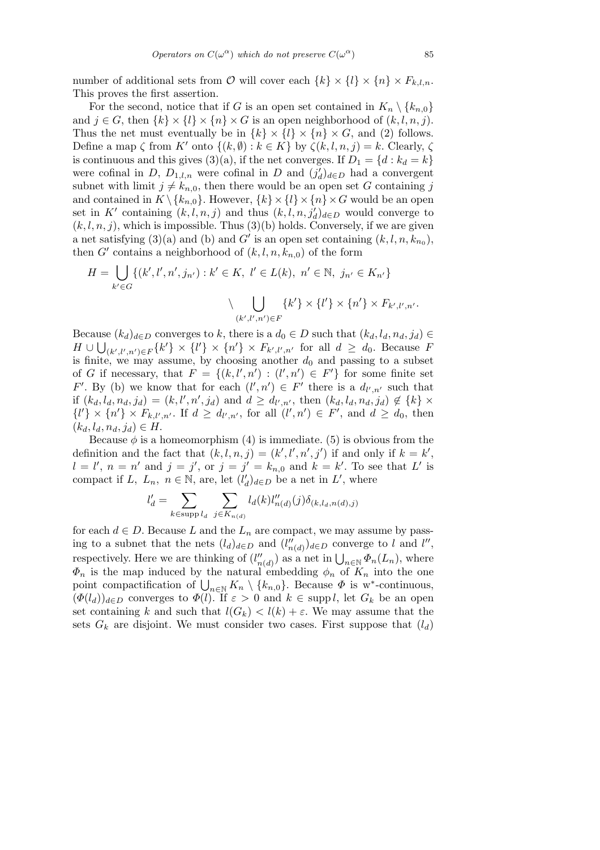number of additional sets from  $\mathcal{O}$  will cover each  $\{k\} \times \{l\} \times \{n\} \times F_{k,l,n}$ . This proves the first assertion.

For the second, notice that if *G* is an open set contained in  $K_n \setminus \{k_{n,0}\}\$ and  $j \in G$ , then  $\{k\} \times \{l\} \times \{n\} \times G$  is an open neighborhood of  $(k, l, n, j)$ . Thus the net must eventually be in  $\{k\} \times \{l\} \times \{n\} \times G$ , and (2) follows. Define a map  $\zeta$  from  $K'$  onto  $\{(k, \emptyset) : k \in K\}$  by  $\zeta(k, l, n, j) = k$ . Clearly,  $\zeta$ is continuous and this gives (3)(a), if the net converges. If  $D_1 = \{d : k_d = k\}$ were cofinal in *D*,  $D_{1,l,n}$  were cofinal in *D* and  $(j_d')_{d\in D}$  had a convergent subnet with limit  $j \neq k_{n,0}$ , then there would be an open set *G* containing *j* and contained in  $K \setminus \{k_{n,0}\}\$ . However,  $\{k\} \times \{l\} \times \{n\} \times G$  would be an open set in *K<sup>'</sup>* containing  $(k, l, n, j)$  and thus  $(k, l, n, j'_d)_{d \in D}$  would converge to  $(k, l, n, j)$ , which is impossible. Thus  $(3)(b)$  holds. Conversely, if we are given a net satisfying (3)(a) and (b) and  $G'$  is an open set containing  $(k, l, n, k_{n_0})$ , then  $G'$  contains a neighborhood of  $(k, l, n, k_{n,0})$  of the form

$$
H = \bigcup_{k' \in G} \{ (k', l', n', j_{n'}) : k' \in K, l' \in L(k), n' \in \mathbb{N}, j_{n'} \in K_{n'} \}
$$

$$
\bigcup_{(k', l', n') \in F} \{ k' \} \times \{ l' \} \times \{ n' \} \times F_{k', l', n'}.
$$

Because  $(k_d)_{d \in D}$  converges to *k*, there is a  $d_0 \in D$  such that  $(k_d, l_d, n_d, j_d) \in$  $H \cup \bigcup_{(k',l',n') \in F} \{k'\}\times \{l'\}\times \{n'\}\times F_{k',l',n'}$  for all  $d \geq d_0$ . Because F is finite, we may assume, by choosing another  $d_0$  and passing to a subset of *G* if necessary, that  $F = \{(k, l', n') : (l', n') \in F'\}$  for some finite set *F*'. By (b) we know that for each  $(l', n') \in F'$  there is a  $d_{l', n'}$  such that if  $(k_d, l_d, n_d, j_d) = (k, l', n', j_d)$  and  $d \ge d_{l',n'}$ , then  $(k_d, l_d, n_d, j_d) \notin \{k\} \times$  $\{l'\}\times\{n'\}\times F_{k,l',n'}.$  If  $d\geq d_{l',n'}$ , for all  $(l',n')\in F'$ , and  $d\geq d_0$ , then  $(k_d, l_d, n_d, j_d) \in H$ .

Because  $\phi$  is a homeomorphism (4) is immediate. (5) is obvious from the definition and the fact that  $(k, l, n, j) = (k', l', n', j')$  if and only if  $k = k'$ ,  $l = l'$ ,  $n = n'$  and  $j = j'$ , or  $j = j' = k_{n,0}$  and  $k = k'$ . To see that *L'* is compact if *L*,  $L_n$ ,  $n \in \mathbb{N}$ , are, let  $(l'_d)_{d \in D}$  be a net in *L*', where

$$
l'_d = \sum_{k \in \text{supp } l_d} \sum_{j \in K_{n(d)}} l_d(k) l''_{n(d)}(j) \delta_{(k, l_d, n(d), j)}
$$

for each  $d \in D$ . Because *L* and the  $L_n$  are compact, we may assume by passing to a subnet that the nets  $(l_d)_{d \in D}$  and  $(l''_{n(d)})_{d \in D}$  converge to *l* and *l''*, respectively. Here we are thinking of  $(l''_{n(d)})$  as a net in  $\bigcup_{n\in\mathbb{N}} \Phi_n(L_n)$ , where  $\Phi_n$  is the map induced by the natural embedding  $\phi_n$  of  $K_n$  into the one  $\Psi_n$  is the map induced by the natural embedding  $\varphi_n$  of  $K_n$  into the one point compactification of  $\bigcup_{n\in\mathbb{N}} K_n \setminus \{k_{n,0}\}$ . Because  $\Phi$  is w<sup>\*</sup>-continuous,  $(\Phi(l_d))_{d \in D}$  converges to  $\Phi(l)$ . If  $\varepsilon > 0$  and  $k \in \text{supp } l$ , let  $G_k$  be an open set containing *k* and such that  $l(G_k) < l(k) + \varepsilon$ . We may assume that the sets  $G_k$  are disjoint. We must consider two cases. First suppose that  $(l_d)$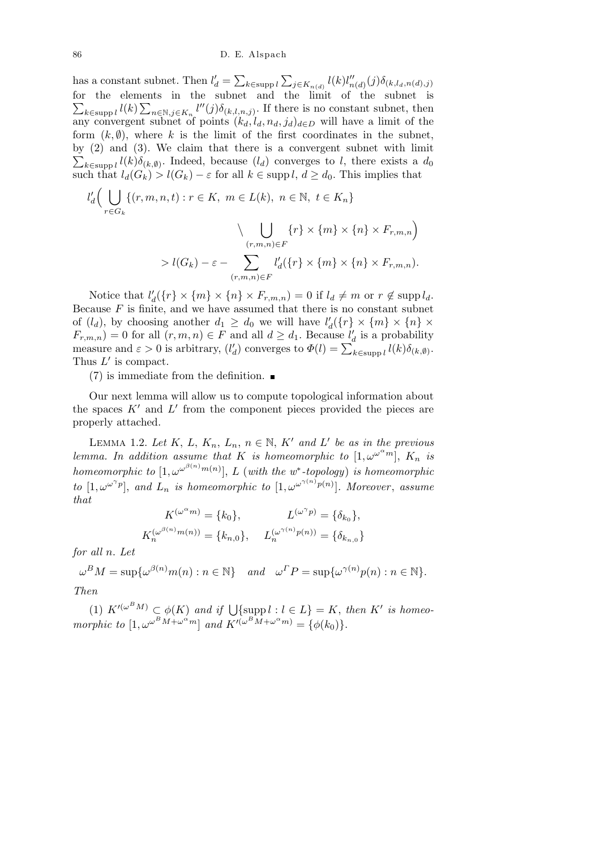has a constant subnet. Then  $l_d'$  =  $\overline{ }$ *k∈*supp *l*  $\overline{ }$  $j \in K_{n(d)}$   $l(k)l''_{n(d)}(j)\delta_{(k,l_d,n(d),j)}$ for the elements in the subnet and the limit of the subnet is  $\widetilde{\phantom{aa}}$  $k ∈$ supp  $l$ <sup> $l(k)$ </sup> ier  $n \in \mathbb{N}, j \in K_n$  *l*<sup>*n*</sup>(*j*)*δ*<sub>(*k,l,n,j*)</sub>. If there is no constant subnet, then any convergent subnet of points  $(k_d, l_d, n_d, j_d)_{d \in D}$  will have a limit of the form  $(k, \emptyset)$ , where k is the limit of the first coordinates in the subnet, by  $(2)$  and  $(3)$ . We claim that there is a convergent subnet with limit  $\kappa \in \text{supp } l(k)\delta_{(k,0)}$ . Indeed, because  $(l_d)$  converges to *l*, there exists a  $d_0$ such that  $l_d(G_k) > l(G_k) - \varepsilon$  for all  $k \in \text{supp } l, d \geq d_0$ . This implies that  $\sqrt{1}$ 

$$
l'_d\Big(\bigcup_{r\in G_k} \{(r, m, n, t) : r \in K, m \in L(k), n \in \mathbb{N}, t \in K_n\}\Big)
$$

$$
\Big\backslash \bigcup_{(r, m, n) \in F} \{r\} \times \{m\} \times \{n\} \times F_{r, m, n}\Big)
$$

$$
> l(G_k) - \varepsilon - \sum l'_d(\{r\} \times \{m\} \times \{n\} \times F_{r, m, n}).
$$

Notice that  $l'_d({r} \times {m} \times {n} \times {r_{r,m,n}}) = 0$  if  $l_d \neq m$  or  $r \notin \text{supp } l_d$ . Because  $F$  is finite, and we have assumed that there is no constant subnet of  $(l_d)$ , by choosing another  $d_1 \geq d_0$  we will have  $l'_d({r} \times {m} \times {n} \times$  $F_{r,m,n}$  *j* = 0 for all  $(r, m, n) \in F$  and all  $d \geq d_1$ . Because  $l'_d$  is a probability  $r_{r,m,n}$  = 0 for an  $(r, m, n) \in F$  and an  $a \ge a_1$ . Because  $i_d$  is a probability measure and  $\varepsilon > 0$  is arbitrary,  $(l'_d)$  converges to  $\Phi(l) = \sum_{k \in \text{supp } l} l(k) \delta_{(k, \emptyset)}$ . Thus  $L'$  is compact.

(*r,m,n*)*∈F*

(7) is immediate from the definition.  $\blacksquare$ 

Our next lemma will allow us to compute topological information about the spaces  $K'$  and  $L'$  from the component pieces provided the pieces are properly attached.

LEMMA 1.2. Let  $K$ ,  $L$ ,  $K_n$ ,  $L_n$ ,  $n \in \mathbb{N}$ ,  $K'$  and  $L'$  be as in the previous *lemma. In addition assume that K is homeomorphic to*  $[1, \omega^{\omega^{\alpha}m}]$ ,  $K_n$  *is homeomorphic to*  $[1, \omega^{\omega^{\beta(n)}m(n)}]$ , *L* (*with the w*<sup>\*</sup>-topology) *is homeomorphic to*  $[1, \omega^{\omega^{\gamma} p}]$ , and  $L_n$  *is homeomorphic to*  $[1, \omega^{\omega^{\gamma(n)} p(n)}]$ *. Moreover*, *assume that*

$$
K^{(\omega^{\alpha}m)} = \{k_0\}, \qquad L^{(\omega^{\gamma}p)} = \{\delta_{k_0}\},
$$
  

$$
K_n^{(\omega^{\beta(n)}m(n))} = \{k_{n,0}\}, \qquad L_n^{(\omega^{\gamma(n)}p(n))} = \{\delta_{k_{n,0}}\}
$$

*for all n. Let*

$$
\omega^B M = \sup \{ \omega^{\beta(n)} m(n) : n \in \mathbb{N} \} \quad and \quad \omega^P P = \sup \{ \omega^{\gamma(n)} p(n) : n \in \mathbb{N} \}.
$$

*Then*

 $(1)$   $K^{\prime(\omega^B M)} \subset \phi(K)$  and if  $\bigcup \{\text{supp } l : l \in L\} = K$ , then  $K^{\prime}$  is homeo*morphic to*  $[1, \omega^{\omega^B M + \omega^{\alpha} m}]$  *and*  $K^{\prime(\omega^B M + \omega^{\alpha} m)} = {\phi(k_0)}$ .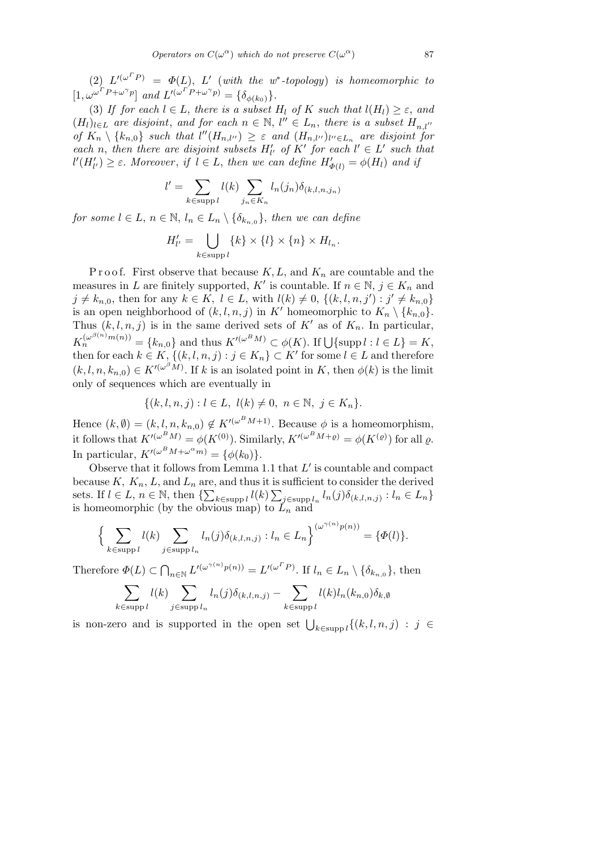(2)  $L^{I(\omega^T P)} = \Phi(L)$ , L' (with the w<sup>\*</sup>-topology) is homeomorphic to  $[I, \omega^{\omega^T P + \omega^\gamma p}]$  and  $L'^{(\omega^T P + \omega^\gamma p)} = {\delta_{\phi(k_0)}}$ .

(3) If for each  $l \in L$ , there is a subset  $H_l$  of K such that  $l(H_l) \geq \varepsilon$ , and  $(H_l)_{l \in L}$  are disjoint, and for each  $n \in \mathbb{N}$ ,  $l'' \in L_n$ , there is a subset  $H_{n,l''}$ of  $K_n \setminus \{k_{n,0}\}\$  such that  $l''(H_{n,l''}) \geq \varepsilon$  and  $(H_{n,l''})_{l'' \in L_n}$  are disjoint for *each n*, *then there are disjoint subsets*  $H'_{l'}$  *of*  $K'$  *for each*  $l' \in L'$  *such that*  $l'(H'_{l'}) \geq \varepsilon$ . Moreover, if  $l \in L$ , then we can define  $H'_{\Phi(l)} = \phi(H_l)$  and if

$$
l' = \sum_{k \in \text{supp } l} l(k) \sum_{j_n \in K_n} l_n(j_n) \delta_{(k,l,n,j_n)}
$$

*for some*  $l \in L$ ,  $n \in \mathbb{N}$ ,  $l_n \in L_n \setminus {\delta_{k_{n,0}}},$  *then we can define* 

$$
H'_{l'} = \bigcup_{k \in \text{supp } l} \{k\} \times \{l\} \times \{n\} \times H_{l_n}.
$$

Proof. First observe that because  $K, L$ , and  $K_n$  are countable and the measures in *L* are finitely supported, *K'* is countable. If  $n \in \mathbb{N}$ ,  $j \in K_n$  and  $j \neq k_{n,0}$ , then for any  $k \in K$ ,  $l \in L$ , with  $l(k) \neq 0$ ,  $\{(k, l, n, j') : j' \neq k_{n,0}\}\$ is an open neighborhood of  $(k, l, n, j)$  in K<sup>*i*</sup> homeomorphic to  $K_n \setminus \{k_{n,0}\}.$ Thus  $(k, l, n, j)$  is in the same derived sets of  $K'$  as of  $K_n$ . In particular,  $K_n^{(\omega^{\beta(n)}m(n))} = \{k_{n,0}\}\$ and thus  $K'^{(\omega^B M)} \subset \phi(K)$ . If  $\bigcup \{\text{supp } l : l \in L\} = K$ , then for each  $k \in K$ ,  $\{(k, l, n, j) : j \in K_n\} \subset K'$  for some  $l \in L$  and therefore  $(k, l, n, k_{n,0}) \in K^{l(\omega^{\beta}M)}$ . If *k* is an isolated point in *K*, then  $\phi(k)$  is the limit only of sequences which are eventually in

$$
\{(k, l, n, j) : l \in L, l(k) \neq 0, n \in \mathbb{N}, j \in K_n\}.
$$

Hence  $(k, \emptyset) = (k, l, n, k_{n,0}) \notin K'^{(\omega^B M + 1)}$ . Because  $\phi$  is a homeomorphism, it follows that  $K^{\prime(\omega^B M)} = \phi(K^{(0)})$ . Similarly,  $K^{\prime(\omega^B M + \varrho)} = \phi(K^{(\varrho)})$  for all  $\varrho$ . In particular,  $K'^{(\omega^B M + \omega^{\alpha} m)} = {\phi(k_0)}$ .

Observe that it follows from Lemma 1.1 that  $L'$  is countable and compact because  $K, K_n, L$ , and  $L_n$  are, and thus it is sufficient to consider the derived sets. If  $l \in L$ ,  $n \in \mathbb{N}$ , then  $\{\sum_{k \in \text{supp } l} l(k) \sum_{j \in \text{supp } l_n} l_n(j) \delta_{(k,l,n,j)} : l_n \in L_n\}$ is homeomorphic (by the obvious map) to  $\tilde{L}_n$  and

$$
\Big\{\sum_{k\in\text{supp }l}l(k)\sum_{j\in\text{supp }l_n}l_n(j)\delta_{(k,l,n,j)}:l_n\in L_n\Big\}^{(\omega^{\gamma(n)}p(n))}=\{\varPhi(l)\}.
$$

Therefore *Φ*(*L*) *⊂*  $\overline{a}$  $L_{n\in\mathbb{N}} L'^{(\omega^{\gamma(n)}p(n))} = L'^{(\omega^T P)}$ . If  $l_n \in L_n \setminus {\delta_{k_{n,0}}},$  then

$$
\sum_{k \in \text{supp } l} l(k) \sum_{j \in \text{supp } l_n} l_n(j) \delta_{(k,l,n,j)} - \sum_{k \in \text{supp } l} l(k) l_n(k_{n,0}) \delta_{k,\emptyset}
$$

is non-zero and is supported in the open set  $\bigcup_{k \in \text{supp } l} \{(k, l, n, j) : j \in$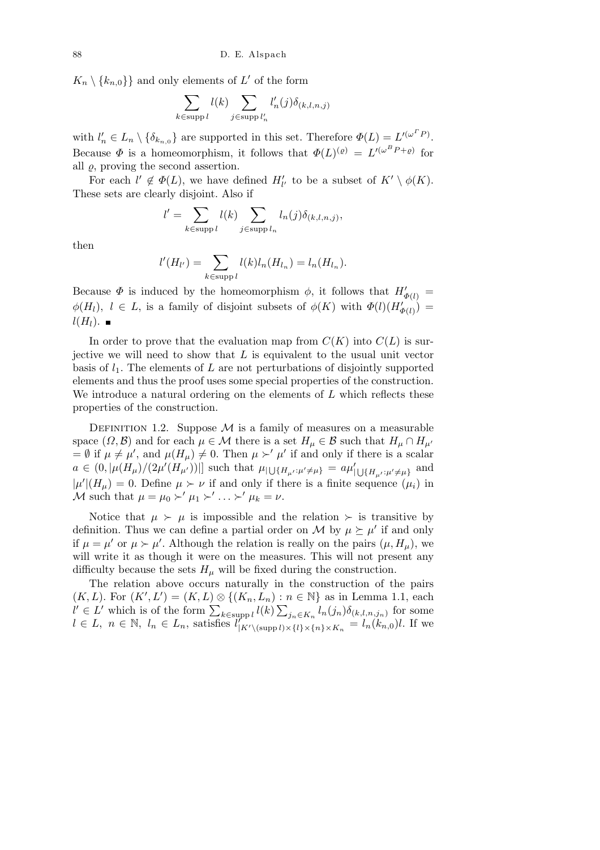$K_n \setminus \{k_{n,0}\}\}\$ and only elements of *L*<sup>'</sup> of the form

$$
\sum_{k \in \text{supp } l} l(k) \sum_{j \in \text{supp } l'_n} l'_n(j) \delta_{(k,l,n,j)}
$$

with  $l'_n \in L_n \setminus \{\delta_{k_{n,0}}\}$  are supported in this set. Therefore  $\Phi(L) = L^{l(\omega^T P)}$ . Because  $\Phi$  is a homeomorphism, it follows that  $\Phi(L)^{(\varrho)} = L'^{(\omega^B P + \varrho)}$  for all  $\rho$ , proving the second assertion.

For each  $l' \notin \Phi(L)$ , we have defined  $H'_{l'}$  to be a subset of  $K' \setminus \phi(K)$ . These sets are clearly disjoint. Also if

$$
l' = \sum_{k \in \text{supp } l} l(k) \sum_{j \in \text{supp } l_n} l_n(j) \delta_{(k,l,n,j)},
$$

then

$$
l'(H_{l'})=\sum_{k\in\text{supp }l}l(k)l_n(H_{l_n})=l_n(H_{l_n}).
$$

Because  $\Phi$  is induced by the homeomorphism  $\phi$ , it follows that  $H'_{\Phi(l)} =$  $\phi(H_l)$ ,  $l \in L$ , is a family of disjoint subsets of  $\phi(K)$  with  $\Phi(l)(H'_{\Phi(l)})$  $l(H_l)$ . ■

In order to prove that the evaluation map from  $C(K)$  into  $C(L)$  is surjective we will need to show that *L* is equivalent to the usual unit vector basis of *l*1*.* The elements of *L* are not perturbations of disjointly supported elements and thus the proof uses some special properties of the construction. We introduce a natural ordering on the elements of *L* which reflects these properties of the construction.

DEFINITION 1.2. Suppose  $M$  is a family of measures on a measurable space  $(\Omega, \mathcal{B})$  and for each  $\mu \in \mathcal{M}$  there is a set  $H_{\mu} \in \mathcal{B}$  such that  $H_{\mu} \cap H_{\mu'}$  $= \emptyset$  if  $\mu \neq \mu'$ , and  $\mu(H_{\mu}) \neq 0$ . Then  $\mu \succ' \mu'$  if and only if there is a scalar  $a \in (0, |\mu(H_{\mu})/(2\mu'(H_{\mu'}))|]$  such that  $\mu_{|\bigcup \{H_{\mu'}:\mu'\neq \mu\}} = a\mu'_{|\bigcup \{H_{\mu'}:\mu'\neq \mu\}}$  and  $|\mu'| (H_{\mu}) = 0$ . Define  $\mu \succ \nu$  if and only if there is a finite sequence  $(\mu_i)$  in *M* such that  $\mu = \mu_0 \succ' \mu_1 \succ' \ldots \succ' \mu_k = \nu$ .

Notice that  $\mu \succ \mu$  is impossible and the relation  $\succ$  is transitive by definition. Thus we can define a partial order on *M* by  $\mu \succeq \mu'$  if and only if  $\mu = \mu'$  or  $\mu > \mu'$ . Although the relation is really on the pairs  $(\mu, H_{\mu})$ , we will write it as though it were on the measures. This will not present any difficulty because the sets  $H_\mu$  will be fixed during the construction.

The relation above occurs naturally in the construction of the pairs  $(K, L)$ . For  $(K', L') = (K, L) \otimes \{(K_n, L_n) : n \in \mathbb{N}\}\$ as in Lemma 1.1, each  $(N, L)$ . For  $(N, L) = (N, L) \otimes \{(N_n, L_n) : n \in \mathbb{N}\}\$  as in Lemma 1.1, each  $l' \in L'$  which is of the form  $\sum_{k \in \text{supp } l} l(k) \sum_{j_n \in K_n} l_n(j_n) \delta_{(k, l, n, j_n)}$  for some  $l \in L$ ,  $n \in \mathbb{N}$ ,  $l_n \in L_n$ , satisfies  $l_{|K' \setminus (\text{supp} l) \times \{l\} \times \{n\} \times K_n} = l_n(k_{n,0})l$ . If we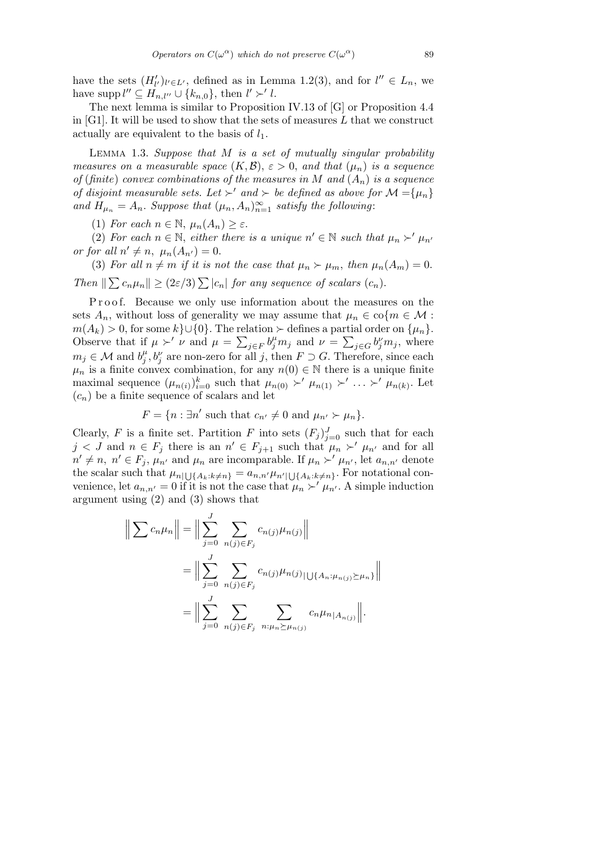have the sets  $(H'_{l'})_{l' \in L'}$ , defined as in Lemma 1.2(3), and for  $l'' \in L_n$ , we have supp  $l'' \subseteq H_{n,l''} \cup \{k_{n,0}\}\text{, then } l' \succ' l.$ 

The next lemma is similar to Proposition IV.13 of [G] or Proposition 4.4 in [G1]. It will be used to show that the sets of measures *L* that we construct actually are equivalent to the basis of *l*1*.*

Lemma 1.3. *Suppose that M is a set of mutually singular probability measures on a measurable space*  $(K, \mathcal{B})$ ,  $\varepsilon > 0$ , and that  $(\mu_n)$  is a sequence *of* (*finite*) *convex combinations of the measures in*  $M$  *and*  $(A_n)$  *is a sequence of disjoint measurable sets. Let*  $\succ'$  *and*  $\succ$  *be defined as above for*  $\mathcal{M} = {\mu_n}$ *and*  $H_{\mu_n} = A_n$ *. Suppose that*  $(\mu_n, A_n)_{n=1}^{\infty}$  *satisfy the following:* 

(1) *For each*  $n \in \mathbb{N}$ ,  $\mu_n(A_n) \geq \varepsilon$ .

(2) For each  $n \in \mathbb{N}$ , either there is a unique  $n' \in \mathbb{N}$  such that  $\mu_n \succ' \mu_{n'}$ *or for all*  $n' \neq n$ ,  $\mu_n(A_{n'}) = 0$ .

(3) For all  $n \neq m$  if it is not the case that  $\mu_n \succ \mu_m$ , then  $\mu_n(A_m) = 0$ . *Then*  $\|\sum c_n \mu_n\| \geq (2\varepsilon/3)\sum |c_n|$  *for any sequence of scalars*  $(c_n)$ *.* 

Proof. Because we only use information about the measures on the sets  $A_n$ , without loss of generality we may assume that  $\mu_n \in \text{co}\{m \in \mathcal{M}:$  $m(A_k) > 0$ , for some  $k$ <sup>}</sup> $\cup$ {0}. The relation  $\succ$  defines a partial order on  $\{\mu_n\}$ . Observe that if  $\mu \succ' \nu$  and  $\mu = \sum_{j \in F} b_j^{\mu} m_j$  and  $\nu = \sum_{j \in G} b_j^{\nu} m_j$ , where  $m_j \in \mathcal{M}$  and  $b_j^{\mu}$  $j<sup>μ</sup>$ ,  $b<sup>ν</sup>$  are non-zero for all *j*, then  $F \supset G$ . Therefore, since each  $\mu_n$  is a finite convex combination, for any  $n(0) \in \mathbb{N}$  there is a unique finite maximal sequence  $(\mu_{n(i)})_{i=0}^k$  such that  $\mu_{n(0)} \succ' \mu_{n(1)} \succ' \ldots \succ' \mu_{n(k)}$ . Let  $(c_n)$  be a finite sequence of scalars and let

$$
F = \{n : \exists n' \text{ such that } c_{n'} \neq 0 \text{ and } \mu_{n'} \succ \mu_n \}.
$$

Clearly, *F* is a finite set. Partition *F* into sets  $(F_j)_{j=0}^J$  such that for each  $j < J$  and  $n \in F_j$  there is an  $n' \in F_{j+1}$  such that  $\mu_n \succ' \mu_{n'}$  and for all  $n' \neq n, n' \in F_j$ ,  $\mu_{n'}$  and  $\mu_n$  are incomparable. If  $\mu_n \succ' \mu_{n'}$ , let  $a_{n,n'}$  denote the scalar such that  $\mu_{n|U\{A_k:k\neq n\}} = a_{n,n'}\mu_{n'|\bigcup\{A_k:k\neq n\}}$ . For notational convenience, let  $a_{n,n'}=0$  if it is not the case that  $\mu_n \succ' \mu_{n'}$ . A simple induction argument using (2) and (3) shows that

$$
\left\| \sum c_n \mu_n \right\| = \left\| \sum_{j=0}^J \sum_{n(j) \in F_j} c_{n(j)} \mu_{n(j)} \right\|
$$
  
= 
$$
\left\| \sum_{j=0}^J \sum_{n(j) \in F_j} c_{n(j)} \mu_{n(j)} \mu_{n(j)} \mu_{n(j) \ge \mu_n} \right\|
$$
  
= 
$$
\left\| \sum_{j=0}^J \sum_{n(j) \in F_j} \sum_{n: \mu_n \ge \mu_{n(j)}} c_n \mu_{n|A_{n(j)}} \right\|.
$$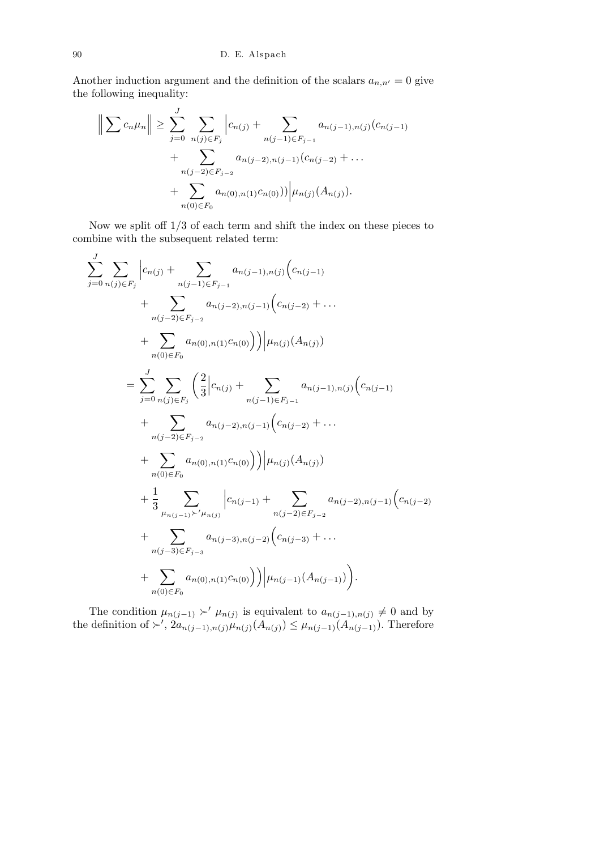Another induction argument and the definition of the scalars  $a_{n,n'} = 0$  give the following inequality:

$$
\left\| \sum c_n \mu_n \right\| \ge \sum_{j=0}^J \sum_{n(j) \in F_j} \left| c_{n(j)} + \sum_{n(j-1) \in F_{j-1}} a_{n(j-1),n(j)} (c_{n(j-1)} + \sum_{n(j-2) \in F_{j-2}} a_{n(j-2),n(j-1)} (c_{n(j-2)} + \dots + \sum_{n(0) \in F_0} a_{n(0),n(1)} c_{n(0)}) \right) \mu_{n(j)} (A_{n(j)}).
$$

Now we split off 1*/*3 of each term and shift the index on these pieces to combine with the subsequent related term:

$$
\sum_{j=0}^{J} \sum_{n(j) \in F_j} \left| c_{n(j)} + \sum_{n(j-1) \in F_{j-1}} a_{n(j-1),n(j)} \left( c_{n(j-1)} \right) \right|
$$
  
+ 
$$
\sum_{n(j-2) \in F_{j-2}} a_{n(j-2),n(j-1)} \left( c_{n(j-2)} + \dots \right)
$$
  
+ 
$$
\sum_{n(0) \in F_0} a_{n(0),n(1)} c_{n(0)} \right) \Big| \mu_{n(j)} (A_{n(j)})
$$
  
= 
$$
\sum_{j=0}^{J} \sum_{n(j) \in F_j} \left( \frac{2}{3} \Big| c_{n(j)} + \sum_{n(j-1) \in F_{j-1}} a_{n(j-1),n(j)} \Big( c_{n(j-1)} \right)
$$
  
+ 
$$
\sum_{n(j-2) \in F_{j-2}} a_{n(j-2),n(j-1)} \Big( c_{n(j-2)} + \dots
$$
  
+ 
$$
\sum_{n(0) \in F_0} a_{n(0),n(1)} c_{n(0)} \Big) \Big| \mu_{n(j)} (A_{n(j)})
$$
  
+ 
$$
\frac{1}{3} \sum_{\mu_{n(j-1)} \succ' \mu_{n(j)}} \Big| c_{n(j-1)} + \sum_{n(j-2) \in F_{j-2}} a_{n(j-2),n(j-1)} \Big( c_{n(j-2)} + \sum_{n(j-3) \in F_{j-3}} a_{n(j-3),n(j-2)} \Big( c_{n(j-3)} + \dots
$$
  
+ 
$$
\sum_{n(0) \in F_0} a_{n(0),n(1)} c_{n(0)} \Big) \Big| \mu_{n(j-1)} (A_{n(j-1)}) \Big).
$$

The condition  $\mu_{n(j-1)} \succ' \mu_{n(j)}$  is equivalent to  $a_{n(j-1),n(j)} \neq 0$  and by the definition of  $\succ'$ ,  $2a_{n(j-1),n(j)}\mu_{n(j)}(A_{n(j)}) \leq \mu_{n(j-1)}(A_{n(j-1)})$ . Therefore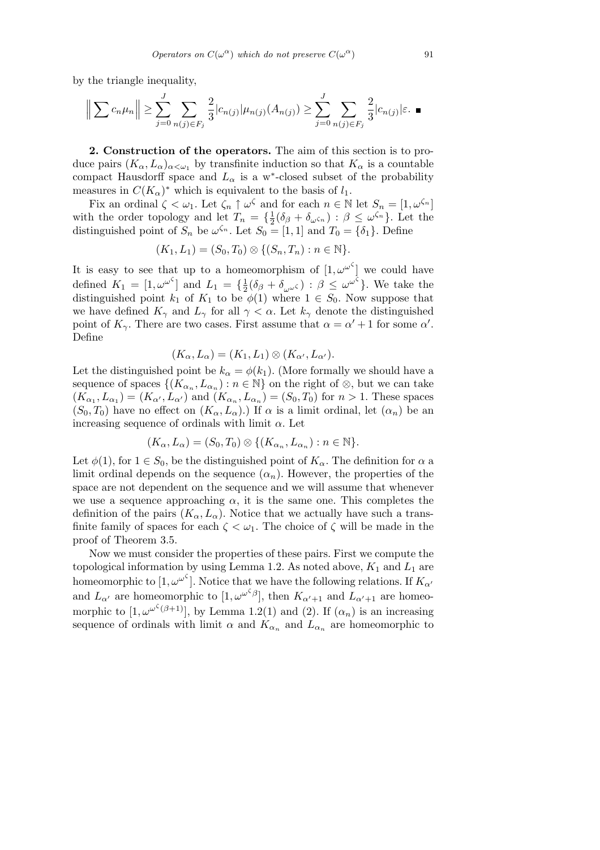by the triangle inequality,

$$
\left\| \sum c_n \mu_n \right\| \ge \sum_{j=0}^J \sum_{n(j) \in F_j} \frac{2}{3} |c_{n(j)}| \mu_{n(j)}(A_{n(j)}) \ge \sum_{j=0}^J \sum_{n(j) \in F_j} \frac{2}{3} |c_{n(j)}| \varepsilon. \blacksquare
$$

**2. Construction of the operators.** The aim of this section is to produce pairs  $(K_\alpha, L_\alpha)_{\alpha<\omega_1}$  by transfinite induction so that  $K_\alpha$  is a countable compact Hausdorff space and  $L_{\alpha}$  is a w<sup>\*</sup>-closed subset of the probability measures in  $C(K_{\alpha})^*$  which is equivalent to the basis of  $l_1$ .

Fix an ordinal  $\zeta < \omega_1$ . Let  $\zeta_n \uparrow \omega^\zeta$  and for each  $n \in \mathbb{N}$  let  $S_n = [1, \omega^{\zeta_n}]$ with the order topology and let  $T_n = \{\frac{1}{2}\}$  $\frac{1}{2}(\delta_{\beta} + \delta_{\omega \zeta_n}) : \beta \leq \omega^{\zeta_n}$ . Let the distinguished point of  $S_n$  be  $\omega^{s_n}$ . Let  $S_0 = [1, 1]$  and  $T_0 = \{\delta_1\}$ . Define

$$
(K_1, L_1) = (S_0, T_0) \otimes \{ (S_n, T_n) : n \in \mathbb{N} \}.
$$

It is easy to see that up to a homeomorphism of  $[1, \omega^{\omega^{\zeta}}]$  we could have defined  $K_1 = [1, \omega^{\omega^{\zeta}}]$  and  $L_1 = {\frac{1}{2}}$  $\frac{1}{2}(\delta_{\beta} + \delta_{\omega^{\omega}})$ :  $\beta \leq \omega^{\omega^{\zeta}}$ . We take the distinguished point  $k_1$  of  $K_1$  to be  $\phi(1)$  where  $1 \in S_0$ . Now suppose that we have defined  $K_{\gamma}$  and  $L_{\gamma}$  for all  $\gamma < \alpha$ . Let  $k_{\gamma}$  denote the distinguished point of  $K_{\gamma}$ . There are two cases. First assume that  $\alpha = \alpha' + 1$  for some  $\alpha'$ . Define

$$
(K_{\alpha}, L_{\alpha}) = (K_1, L_1) \otimes (K_{\alpha'}, L_{\alpha'}).
$$

Let the distinguished point be  $k_{\alpha} = \phi(k_1)$ . (More formally we should have a sequence of spaces  $\{(K_{\alpha_n}, L_{\alpha_n}) : n \in \mathbb{N}\}\)$  on the right of  $\otimes$ , but we can take  $(K_{\alpha_1}, L_{\alpha_1}) = (K_{\alpha'}, L_{\alpha'})$  and  $(K_{\alpha_n}, L_{\alpha_n}) = (S_0, T_0)$  for  $n > 1$ . These spaces  $(S_0, T_0)$  have no effect on  $(K_\alpha, L_\alpha)$ .) If  $\alpha$  is a limit ordinal, let  $(\alpha_n)$  be an increasing sequence of ordinals with limit *α*. Let

$$
(K_{\alpha}, L_{\alpha}) = (S_0, T_0) \otimes \{ (K_{\alpha_n}, L_{\alpha_n}) : n \in \mathbb{N} \}.
$$

Let  $\phi(1)$ , for  $1 \in S_0$ , be the distinguished point of  $K_\alpha$ . The definition for  $\alpha$  a limit ordinal depends on the sequence  $(\alpha_n)$ . However, the properties of the space are not dependent on the sequence and we will assume that whenever we use a sequence approaching  $\alpha$ , it is the same one. This completes the definition of the pairs  $(K_{\alpha}, L_{\alpha})$ . Notice that we actually have such a transfinite family of spaces for each  $\zeta < \omega_1$ . The choice of  $\zeta$  will be made in the proof of Theorem 3.5.

Now we must consider the properties of these pairs. First we compute the topological information by using Lemma 1.2. As noted above,  $K_1$  and  $L_1$  are homeomorphic to  $[1, \omega^{\omega^{\zeta}}]$ . Notice that we have the following relations. If  $K_{\alpha}$ <sup>*o*</sup> and  $L_{\alpha'}$  are homeomorphic to  $[1, \omega^{\omega^{\zeta}\beta}]$ , then  $K_{\alpha'+1}$  and  $L_{\alpha'+1}$  are homeomorphic to  $[1, \omega^{\omega^{\zeta}(\beta+1)}]$ , by Lemma 1.2(1) and (2). If  $(\alpha_n)$  is an increasing sequence of ordinals with limit  $\alpha$  and  $K_{\alpha_n}$  and  $L_{\alpha_n}$  are homeomorphic to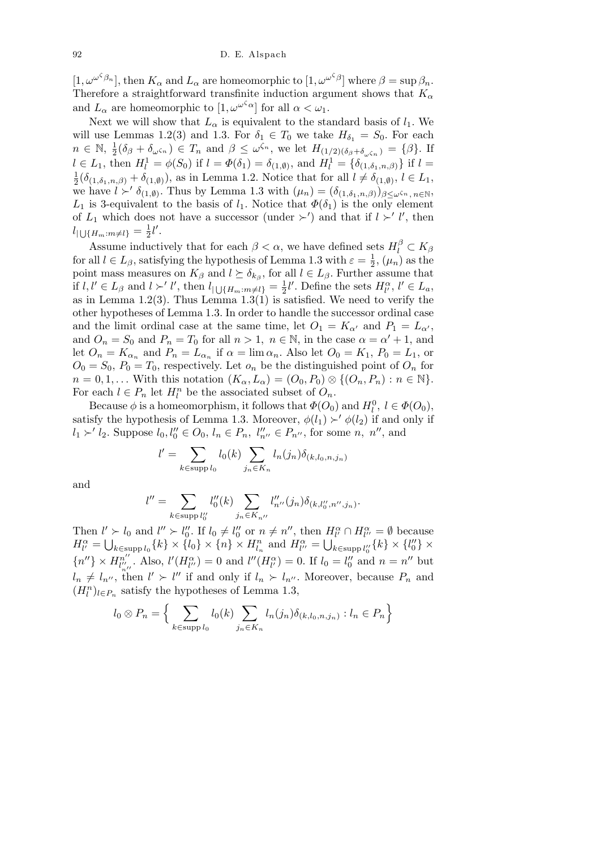$[1, \omega^{\omega^{\zeta} \beta_n}]$ , then  $K_\alpha$  and  $L_\alpha$  are homeomorphic to  $[1, \omega^{\omega^{\zeta} \beta}]$  where  $\beta = \sup \beta_n$ . Therefore a straightforward transfinite induction argument shows that  $K_{\alpha}$ and  $L_{\alpha}$  are homeomorphic to  $[1, \omega^{\omega^{\zeta} \alpha}]$  for all  $\alpha < \omega_1$ .

Next we will show that  $L_{\alpha}$  is equivalent to the standard basis of  $l_1$ . We will use Lemmas 1.2(3) and 1.3. For  $\delta_1 \in T_0$  we take  $H_{\delta_1} = S_0$ . For each  $n \in \mathbb{N}, \frac{1}{2}$  $\frac{1}{2}(\delta_{\beta}+\delta_{\omega\zeta_n})\in T_n$  and  $\beta\leq\omega^{\zeta_n}$ , we let  $H_{(1/2)(\delta_{\beta}+\delta_{\omega\zeta_n})}=\{\beta\}.$  If  $l \in L_1$ , then  $H_l^1 = \phi(S_0)$  if  $l = \Phi(\delta_1) = \delta_{(1,\emptyset)}$ , and  $H_l^1 = \{\delta_{(1,\delta_1,n,\beta)}\}\$  if  $l =$ 1  $\frac{1}{2}(\delta_{(1,\delta_1,n,\beta)} + \delta_{(1,\emptyset)})$ , as in Lemma 1.2. Notice that for all  $l \neq \delta_{(1,\emptyset)}$ ,  $l \in L_1$ , we have  $\hat{l} \succ' \delta_{(1,\emptyset)}$ . Thus by Lemma 1.3 with  $(\mu_n) = (\delta_{(1,\delta_1,n,\beta)})_{\beta \leq \omega^{\zeta_n}, n \in \mathbb{N}}$ , *L*<sub>1</sub> is 3-equivalent to the basis of *l*<sub>1</sub>. Notice that  $\Phi(\delta_1)$  is the only element of  $L_1$  which does not have a successor (under  $\succ'$ ) and that if  $l \succ' l'$ , then  $l_{|\bigcup\{H_m: m\neq l\}} = \frac{1}{2}$  $\frac{1}{2}l'$ .

Assume inductively that for each  $\beta < \alpha$ , we have defined sets  $H_l^{\beta} \subset K_{\beta}$ for all  $l \in L_{\beta}$ , satisfying the hypothesis of Lemma 1.3 with  $\varepsilon = \frac{1}{2}$  $\frac{1}{2}$ ,  $(\mu_n)$  as the point mass measures on  $K_{\beta}$  and  $l \succeq \delta_{k_{\beta}}$ , for all  $l \in L_{\beta}$ . Further assume that if  $l, l' \in L_{\beta}$  and  $l \succ' l'$ , then  $l_{\vert \bigcup \{H_m : m \neq l\}} = \frac{1}{2}$  $\frac{1}{2}l'$ . Define the sets  $H_l^{\alpha}, l' \in L_a$ , as in Lemma 1.2(3). Thus Lemma 1.3(1) is satisfied. We need to verify the other hypotheses of Lemma 1.3. In order to handle the successor ordinal case and the limit ordinal case at the same time, let  $O_1 = K_{\alpha'}$  and  $P_1 = L_{\alpha'}$ , and  $O_n = S_0$  and  $P_n = T_0$  for all  $n > 1$ ,  $n \in \mathbb{N}$ , in the case  $\alpha = \alpha' + 1$ , and let  $O_n = K_{\alpha_n}$  and  $P_n = L_{\alpha_n}$  if  $\alpha = \lim \alpha_n$ . Also let  $O_0 = K_1$ ,  $P_0 = L_1$ , or  $O_0 = S_0$ ,  $P_0 = T_0$ , respectively. Let  $o_n$  be the distinguished point of  $O_n$  for  $n = 0, 1, \ldots$  With this notation  $(K_{\alpha}, L_{\alpha}) = (O_0, P_0) \otimes \{(O_n, P_n) : n \in \mathbb{N}\}.$ For each  $l \in P_n$  let  $H_l^n$  be the associated subset of  $O_n$ .

Because  $\phi$  is a homeomorphism, it follows that  $\Phi(O_0)$  and  $H_l^0$ ,  $l \in \Phi(O_0)$ , satisfy the hypothesis of Lemma 1.3. Moreover,  $\phi(l_1) \succ' \phi(l_2)$  if and only if  $l_1 \succ' l_2$ . Suppose  $l_0, l''_0 \in O_0$ ,  $l_n \in P_n$ ,  $l''_{n''} \in P_{n''}$ , for some n, n'', and

$$
l' = \sum_{k \in \text{supp } l_0} l_0(k) \sum_{j_n \in K_n} l_n(j_n) \delta_{(k, l_0, n, j_n)}
$$

and

$$
l'' = \sum_{k \in \text{supp } l_0''} l_0''(k) \sum_{j_n \in K_{n''}} l''_{n''}(j_n) \delta_{(k, l_0'', n'', j_n)}.
$$

Then  $l' > l_0$  and  $l'' > l''_0$ . If  $l_0 \neq l''_0$  or  $n \neq n''$ , then  $H_l^{\alpha} \cap H_{l''}^{\alpha} = \emptyset$  because  $H_{l'}^{\alpha} = \bigcup_{k \in \text{supp } l_0} \{k\} \times \{l_0\} \times \{n\} \times H_{l_n}^n \text{ and } H_{l'}^{\alpha} = \bigcup_{k \in \text{supp } l_0''} \{k\} \times \{l_0''\} \times$  $\{n''\}\times H_{l''}^{n''}$  $\binom{n''}{l''}$ . Also,  $l'(H_{l''}^{\alpha})=0$  and  $l''(H_{l'}^{\alpha})=0$ . If  $l_0=l''_0$  and  $n=n''$  but  $l_n \neq l_{n''}$ , then  $l' \succ l''$  if and only if  $l_n \succ l_{n''}$ . Moreover, because  $P_n$  and  $(H_l^n)_{l \in P_n}$  satisfy the hypotheses of Lemma 1.3, o

$$
l_0 \otimes P_n = \Big\{\sum_{k \in \text{supp } l_0} l_0(k) \sum_{j_n \in K_n} l_n(j_n) \delta_{(k, l_0, n, j_n)} : l_n \in P_n\Big\}
$$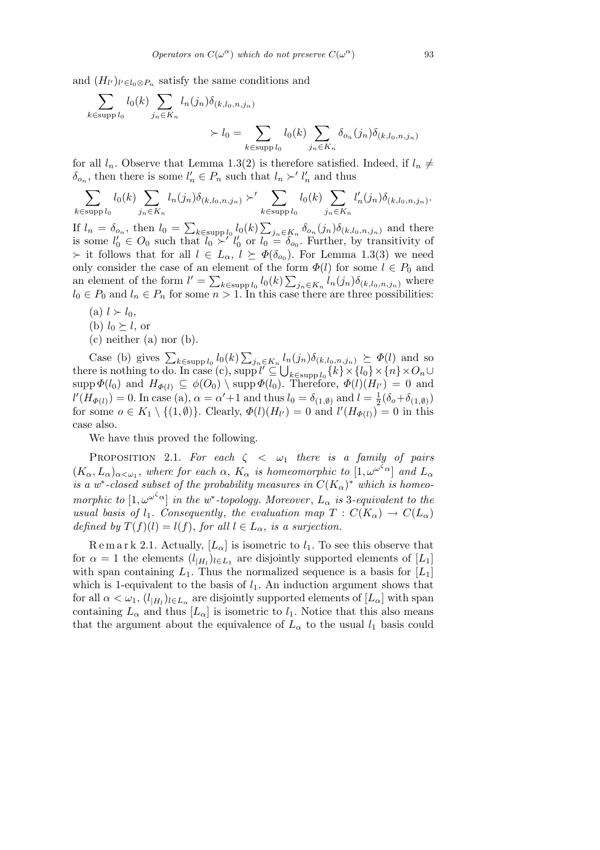and  $(H_{l'})_{l' \in l_0 \otimes P_n}$  satisfy the same conditions and

$$
\sum_{k \in \text{supp } l_0} l_0(k) \sum_{j_n \in K_n} l_n(j_n) \delta_{(k, l_0, n, j_n)} \times l_0 = \sum_{k \in \text{supp } l_0} l_0(k) \sum_{j_n \in K_n} \delta_{o_n}(j_n) \delta_{(k, l_0, n, j_n)}
$$

for all  $l_n$ . Observe that Lemma 1.3(2) is therefore satisfied. Indeed, if  $l_n \neq$  $\delta_{o_n}$ , then there is some  $l'_n \in P_n$  such that  $l_n \succ' l'_n$  and thus

$$
\sum_{k \in \text{supp } l_0} l_0(k) \sum_{j_n \in K_n} l_n(j_n) \delta_{(k, l_0, n, j_n)} \succ' \sum_{k \in \text{supp } l_0} l_0(k) \sum_{j_n \in K_n} l'_n(j_n) \delta_{(k, l_0, n, j_n)}.
$$

If  $l_n = \delta_{o_n}$ , then  $l_0 =$  $k ∈$ supp  $l_0$   $l_0(k)$  $j_n \in K_n$   $\delta o_n(j_n)\delta_{(k,l_0,n,j_n)}$  and there is some  $l'_0 \in O_0$  such that  $l_0 \succ l'_0$  or  $l_0 = \delta_{o_0}$ . Further, by transitivity of  $\succ$  it follows that for all  $l \in L_{\alpha}, l \succeq \Phi(\delta_{o_0})$ . For Lemma 1.3(3) we need only consider the case of an element of the form  $\Phi(l)$  for some  $l \in P_0$  and an element of the form  $l' = \sum_{k \in \text{supp } l_0} l_0(k) \sum_{j_n \in K_n} l_n(j_n) \delta_{(k, l_0, n, j_n)}$  where  $l_0 \in P_0$  and  $l_n \in P_n$  for some  $n > 1$ . In this case there are three possibilities:

- (a)  $l > l_0$ ,
- (b)  $l_0 \succeq l$ , or
- $(c)$  neither  $(a)$  nor  $(b)$ .

Case (b) gives  $\sum_{k \in \text{supp } l_0} l_0(k)$  $\overline{ }$  $j_n \in K_n$ ,  $l_n(j_n)\delta_{(k,l_0,n,j_n)} \succeq \Phi(l)$  and so Case (b) gives  $\sum_{k \in \text{supp } l_0} l_0(k) \sum_{j_n \in K_n} l_r$ <br>there is nothing to do. In case (c), supp  $l' \subseteq \bigcup$ *k∈*supp *l*<sup>0</sup> *{k}×{l*0*}×{n}×O<sup>n</sup> ∪*  $\sup p \Phi(l_0)$  and  $H_{\Phi(l)} \subseteq \phi(O_0) \setminus \sup p \Phi(l_0)$ . Therefore,  $\Phi(l)(H_{l'}) = 0$  and  $l'(H_{\Phi(l)}) = 0$ . In case (a),  $\alpha = \alpha' + 1$  and thus  $l_0 = \delta_{(1,\emptyset)}$  and  $l = \frac{1}{2}$  $\frac{1}{2}(\delta_o+\delta_{(1,\emptyset)})$ for some  $o \in K_1 \setminus \{(1,\emptyset)\}\$ . Clearly,  $\Phi(l)(H_{l'}) = 0$  and  $l'(H_{\Phi(l)}) = 0$  in this case also.

We have thus proved the following.

PROPOSITION 2.1. *For each*  $\zeta \leq \omega_1$  *there is a family of pairs*  $(K_{\alpha}, L_{\alpha})_{\alpha < \omega_1}$ , where for each  $\alpha$ ,  $K_{\alpha}$  is homeomorphic to  $[1, \omega^{\omega^{\zeta_{\alpha}}}]$  and  $L_{\alpha}$ *is a w<sup>\*</sup>-closed subset of the probability measures in*  $C(K_{\alpha})^*$  *which is homeomorphic to*  $[1, \omega^{\omega^{\zeta} \alpha}]$  *in the w<sup>\*</sup>-topology. Moreover*,  $L_{\alpha}$  *is* 3-equivalent to the *usual basis of*  $l_1$ *. Consequently, the evaluation map*  $T: C(K_\alpha) \to C(L_\alpha)$ *defined by*  $T(f)(l) = l(f)$ , *for all*  $l \in L_\alpha$ , *is a surjection.* 

Remark 2.1. Actually,  $[L_{\alpha}]$  is isometric to  $l_1$ . To see this observe that for  $\alpha = 1$  the elements  $(l_{|H_l})_{l \in L_1}$  are disjointly supported elements of  $[L_1]$ with span containing  $L_1$ . Thus the normalized sequence is a basis for  $[L_1]$ which is 1-equivalent to the basis of  $l_1$ . An induction argument shows that for all  $\alpha < \omega_1$ ,  $(l_{|H_l})_{l \in L_\alpha}$  are disjointly supported elements of  $[L_\alpha]$  with span containing  $L_{\alpha}$  and thus  $[L_{\alpha}]$  is isometric to  $l_1$ . Notice that this also means that the argument about the equivalence of  $L_{\alpha}$  to the usual  $l_1$  basis could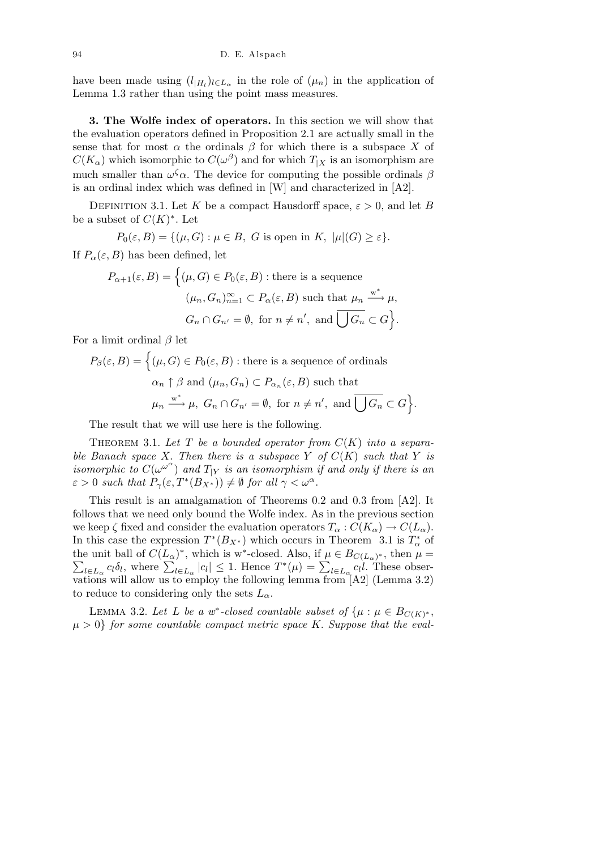have been made using  $(l_{|H_l})_{l \in L_{\alpha}}$  in the role of  $(\mu_n)$  in the application of Lemma 1.3 rather than using the point mass measures.

**3. The Wolfe index of operators.** In this section we will show that the evaluation operators defined in Proposition 2.1 are actually small in the sense that for most  $\alpha$  the ordinals  $\beta$  for which there is a subspace X of  $C(K_{\alpha})$  which isomorphic to  $C(\omega^{\beta})$  and for which  $T_{|X}$  is an isomorphism are much smaller than  $\omega^{\zeta} \alpha$ . The device for computing the possible ordinals  $\beta$ is an ordinal index which was defined in [W] and characterized in [A2].

DEFINITION 3.1. Let K be a compact Hausdorff space,  $\varepsilon > 0$ , and let B be a subset of  $C(K)^*$ . Let

$$
P_0(\varepsilon, B) = \{ (\mu, G) : \mu \in B, G \text{ is open in } K, \ |\mu|(G) \ge \varepsilon \}.
$$

If  $P_\alpha(\varepsilon, B)$  has been defined, let

$$
P_{\alpha+1}(\varepsilon, B) = \left\{ (\mu, G) \in P_0(\varepsilon, B) : \text{there is a sequence}
$$

$$
(\mu_n, G_n)_{n=1}^{\infty} \subset P_{\alpha}(\varepsilon, B) \text{ such that } \mu_n \xrightarrow{w^*} \mu,
$$

$$
G_n \cap G_{n'} = \emptyset, \text{ for } n \neq n', \text{ and } \overline{\bigcup G_n} \subset G \right\}.
$$

For a limit ordinal *β* let

$$
P_{\beta}(\varepsilon, B) = \left\{ (\mu, G) \in P_0(\varepsilon, B) : \text{there is a sequence of ordinals} \right\}
$$

$$
\alpha_n \uparrow \beta \text{ and } (\mu_n, G_n) \subset P_{\alpha_n}(\varepsilon, B) \text{ such that}
$$

$$
\mu_n \xrightarrow{w^*} \mu, \ G_n \cap G_{n'} = \emptyset, \text{ for } n \neq n', \text{ and } \overline{\bigcup G_n} \subset G \right\}.
$$

The result that we will use here is the following.

THEOREM 3.1. Let  $T$  be a bounded operator from  $C(K)$  into a separa*ble Banach space X. Then there is a subspace Y of*  $C(K)$  *such that Y is isomorphic to*  $C(\omega^{\omega^{\alpha}})$  and  $T_{|Y}$  *is an isomorphism if and only if there is an*  $\varepsilon > 0$  *such that*  $P_{\gamma}(\varepsilon, T^*(B_{X^*})) \neq \emptyset$  *for all*  $\gamma < \omega^{\alpha}$ *.* 

This result is an amalgamation of Theorems 0.2 and 0.3 from [A2]. It follows that we need only bound the Wolfe index. As in the previous section we keep  $\zeta$  fixed and consider the evaluation operators  $T_{\alpha}: C(K_{\alpha}) \to C(L_{\alpha})$ . In this case the expression  $T^*(B_{X^*})$  which occurs in Theorem 3.1 is  $T^*_{\alpha}$  of the unit ball of  $C(L_\alpha)^*$ , which is w<sup>∗</sup>-closed. Also, if  $\mu \in B_{C(L_\alpha)^*}$ , then  $\mu =$ e unit ball of  $C(L_{\alpha})$ , which is w-closed. Also, if  $\mu \in D_{C(L_{\alpha})^*}$ , then  $\mu =$ <br> $l \in L_{\alpha} c_l \delta_l$ , where  $\sum_{l \in L_{\alpha}} |c_l| \leq 1$ . Hence  $T^*(\mu) = \sum_{l \in L_{\alpha}} c_l l$ . These observations will allow us to employ the following lemma from  $[A2]$  (Lemma 3.2) to reduce to considering only the sets  $L_{\alpha}$ .

LEMMA 3.2. Let L be a w<sup>\*</sup>-closed countable subset of  $\{\mu : \mu \in B_{C(K)^*},\}$  $\mu > 0$ } *for some countable compact metric space K. Suppose that the eval-*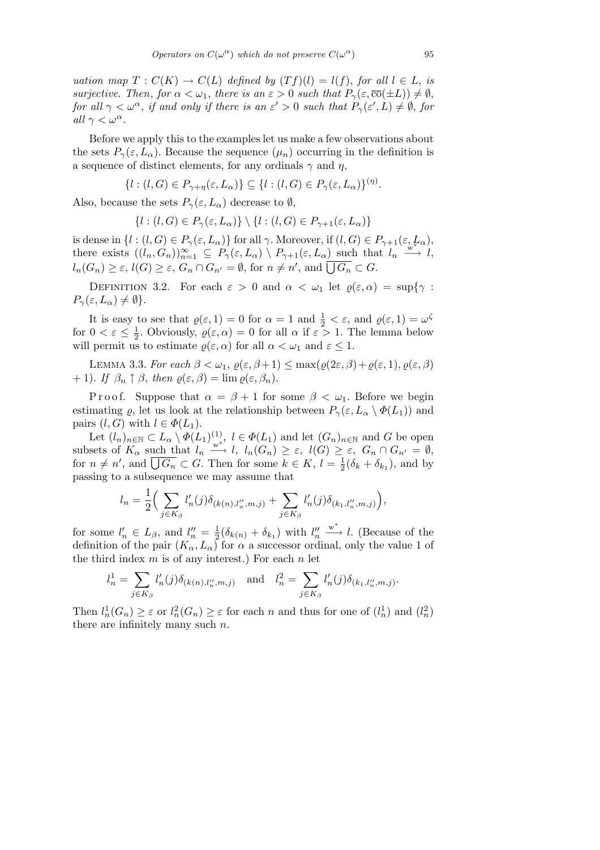*uation map*  $T: C(K) \to C(L)$  *defined by*  $(Tf)(l) = l(f)$ , *for all*  $l \in L$ , *is surjective. Then, for*  $\alpha < \omega_1$ *, there is an*  $\varepsilon > 0$  *such that*  $P_\gamma(\varepsilon, \overline{\text{co}}(\pm L)) \neq \emptyset$ *, for all*  $\gamma < \omega^{\alpha}$ , *if and only if there is an*  $\varepsilon' > 0$  *such that*  $P_{\gamma}(\varepsilon', L) \neq \emptyset$ , *for all*  $\gamma < \omega^{\alpha}$ *.* 

Before we apply this to the examples let us make a few observations about the sets  $P_\gamma(\varepsilon, L_\alpha)$ . Because the sequence  $(\mu_n)$  occurring in the definition is a sequence of distinct elements, for any ordinals  $\gamma$  and  $\eta$ ,

$$
\{l : (l, G) \in P_{\gamma + \eta}(\varepsilon, L_{\alpha})\} \subseteq \{l : (l, G) \in P_{\gamma}(\varepsilon, L_{\alpha})\}^{(\eta)}.
$$

Also, because the sets  $P_\gamma(\varepsilon, L_\alpha)$  decrease to  $\emptyset$ ,

 ${l : (l, G) \in P_\gamma(\varepsilon, L_\alpha)} \setminus {l : (l, G) \in P_{\gamma+1}(\varepsilon, L_\alpha)}$ 

is dense in  $\{l : (l, G) \in P_\gamma(\varepsilon, L_\alpha)\}$  for all  $\gamma$ . Moreover, if  $(l, G) \in P_{\gamma+1}(\varepsilon, L_\alpha)$ , there exists  $((l_n, G_n))_{n=1}^{\infty} \subseteq P_\gamma(\varepsilon, L_\alpha) \setminus P_{\gamma+1}(\varepsilon, L_\alpha)$  such that  $l_n \xrightarrow{w \to \infty} l$ , there exists  $((n, \Theta_n))_{n=1} \subseteq T_{\gamma(\epsilon)} L_{\alpha}$   $(T_{\gamma+1}(\epsilon), L_{\alpha})$  such that<br> $l_n(G_n) \geq \epsilon$ ,  $l(G) \geq \epsilon$ ,  $G_n \cap G_{n'} = \emptyset$ , for  $n \neq n'$ , and  $\overline{\bigcup G_n} \subset G$ .

DEFINITION 3.2. For each  $\varepsilon > 0$  and  $\alpha < \omega_1$  let  $\varrho(\varepsilon, \alpha) = \sup\{\gamma : \Omega \}$  $P_\gamma(\varepsilon, L_\alpha) \neq \emptyset$ .

It is easy to see that  $\varrho(\varepsilon, 1) = 0$  for  $\alpha = 1$  and  $\frac{1}{2} < \varepsilon$ , and  $\varrho(\varepsilon, 1) = \omega^{\zeta}$ for  $0 < \varepsilon \leq \frac{1}{2}$  $\frac{1}{2}$ . Obviously,  $\varrho(\varepsilon, \alpha) = 0$  for all  $\alpha$  if  $\varepsilon > 1$ . The lemma below will permit us to estimate  $\varrho(\varepsilon, \alpha)$  for all  $\alpha < \omega_1$  and  $\varepsilon \leq 1$ .

LEMMA 3.3. *For each*  $\beta < \omega_1, \varrho(\varepsilon, \beta + 1) \leq \max(\varrho(2\varepsilon, \beta) + \varrho(\varepsilon, 1), \varrho(\varepsilon, \beta)$  $+ 1$ *). If*  $\beta_n \uparrow \beta$ *, then*  $\varrho(\varepsilon, \beta) = \lim \varrho(\varepsilon, \beta_n)$ *.* 

Proof. Suppose that  $\alpha = \beta + 1$  for some  $\beta < \omega_1$ . Before we begin estimating  $\varrho$ , let us look at the relationship between  $P_{\gamma}(\varepsilon, L_{\alpha} \setminus \Phi(L_1))$  and pairs  $(l, G)$  with  $l \in \Phi(L_1)$ .

Let  $(l_n)_{n \in \mathbb{N}} \subset L_\alpha \setminus \Phi(L_1)^{(1)}$ ,  $l \in \Phi(L_1)$  and let  $(G_n)_{n \in \mathbb{N}}$  and *G* be open subsets of  $K_{\alpha}$  such that  $l_n \xrightarrow{w^*} l$ ,  $l_n(G_n) \geq \varepsilon$ ,  $l(G) \geq \varepsilon$ ,  $G_n \cap G_{n'} = \emptyset$ , for  $n \neq n'$ , and  $\overline{\bigcup G_n} \subset G$ . Then for some  $k \in K$ ,  $l = \frac{1}{2}$  $\frac{1}{2}(\delta_k + \delta_{k_1}),$  and by passing to a subsequence we may assume that

$$
l_n=\frac{1}{2}\Big(\sum_{j\in K_\beta} l_n'(j)\delta_{(k(n),l_n'',m,j)}+\sum_{j\in K_\beta} l_n'(j)\delta_{(k_1,l_n'',m,j)}\Big),
$$

for some  $l'_n \in L_\beta$ , and  $l''_n = \frac{1}{2}$  $\frac{1}{2}(\delta_{k(n)} + \delta_{k_1})$  with  $l''_n$ w *∗ −→ l.* (Because of the definition of the pair  $(K_{\alpha}, L_{\alpha})$  for  $\alpha$  a successor ordinal, only the value 1 of the third index *m* is of any interest.) For each *n* let

$$
l_n^1 = \sum_{j \in K_\beta} l'_n(j) \delta_{(k(n),l''_n,m,j)} \quad \text{and} \quad l_n^2 = \sum_{j \in K_\beta} l'_n(j) \delta_{(k_1,l''_n,m,j)}.
$$

Then  $l_n^1(G_n) \geq \varepsilon$  or  $l_n^2(G_n) \geq \varepsilon$  for each *n* and thus for one of  $(l_n^1)$  and  $(l_n^2)$ there are infinitely many such *n.*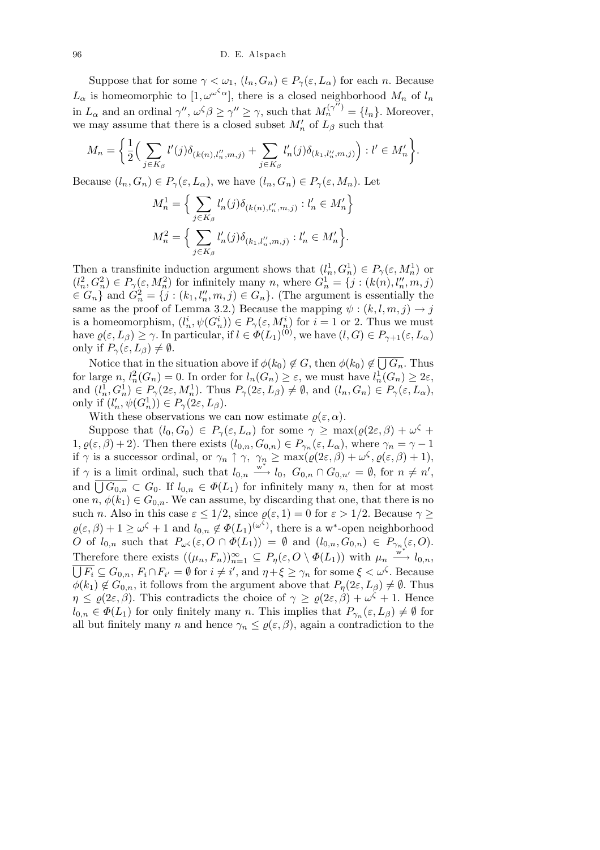Suppose that for some  $\gamma < \omega_1$ ,  $(l_n, G_n) \in P_\gamma(\varepsilon, L_\alpha)$  for each *n*. Because  $L_{\alpha}$  is homeomorphic to  $[1, \omega^{\omega^{\zeta_{\alpha}}}]$ , there is a closed neighborhood  $M_{n}$  of  $l_{n}$ in  $L_{\alpha}$  and an ordinal  $\gamma''$ ,  $\omega^{\zeta}\beta \geq \gamma'' \geq \gamma$ , such that  $M_n^{(\gamma'')} = \{l_n\}$ . Moreover, we may assume that there is a closed subset  $M'_n$  of  $L_\beta$  such that  $\overline{a}$  $\ddot{\phantom{0}}$ 

$$
M_n = \left\{ \frac{1}{2} \Big( \sum_{j \in K_{\beta}} l'(j) \delta_{(k(n),l''_n,m,j)} + \sum_{j \in K_{\beta}} l'_n(j) \delta_{(k_1,l''_n,m,j)} \Big) : l' \in M'_n \right\}.
$$

Because  $(l_n, G_n) \in P_\gamma(\varepsilon, L_\alpha)$ , we have  $(l_n, G_n) \in P_\gamma(\varepsilon, M_n)$ . Let  $\sum_{i=1}^{\infty}$ 

$$
M_n^1 = \Big\{ \sum_{j \in K_\beta} l'_n(j) \delta_{(k(n), l''_n, m, j)} : l'_n \in M'_n \Big\}
$$
  

$$
M_n^2 = \Big\{ \sum_{j \in K_\beta} l'_n(j) \delta_{(k_1, l''_n, m, j)} : l'_n \in M'_n \Big\}.
$$

Then a transfinite induction argument shows that  $(l_n^1, G_n^1) \in P_\gamma(\varepsilon, M_n^1)$  or  $(l_n^2, G_n^2) \in P_{\gamma}(\varepsilon, M_n^2)$  for infinitely many n, where  $G_n^1 = \{j : (k(n), l_n'', m, j)$  $\in G_n$  and  $G_n^2 = \{j : (k_1, l_n'', m, j) \in G_n\}$ . (The argument is essentially the same as the proof of Lemma 3.2.) Because the mapping  $\psi$  :  $(k, l, m, j) \rightarrow j$ is a homeomorphism,  $(l_n^i, \psi(G_n^i)) \in P_\gamma(\varepsilon, M_n^i)$  for  $i = 1$  or 2. Thus we must have  $\varrho(\varepsilon, L_\beta) \ge \gamma$ . In particular, if  $l \in \Phi(L_1)^{(0)}$ , we have  $(l, G) \in P_{\gamma+1}(\varepsilon, L_\alpha)$ only if  $P_\gamma(\varepsilon, L_\beta) \neq \emptyset$ .  $\overline{\phantom{a}}$ 

Notice that in the situation above if  $\phi(k_0) \notin G$ , then  $\phi(k_0) \notin G$ *Gn.* Thus for large  $n, l_n^2(G_n) = 0$ . In order for  $l_n(G_n) \geq \varepsilon$ , we must have  $l_n^1(G_n) \geq 2\varepsilon$ , and  $(l_n^1, G_n^1) \in P_\gamma(2\varepsilon, M_n^1)$ . Thus  $P_\gamma(2\varepsilon, L_\beta) \neq \emptyset$ , and  $(l_n, G_n) \in P_\gamma(\varepsilon, L_\alpha)$ , only if  $(l'_n, \psi(G_n^1)) \in P_\gamma(2\varepsilon, L_\beta)$ .

With these observations we can now estimate  $\rho(\varepsilon, \alpha)$ .

Suppose that  $(l_0, G_0) \in P_\gamma(\varepsilon, L_\alpha)$  for some  $\gamma \ge \max(\varrho(2\varepsilon, \beta) + \omega^\zeta + \varrho$  $1, \varrho(\varepsilon, \beta) + 2$ ). Then there exists  $(l_{0,n}, G_{0,n}) \in P_{\gamma_n}(\varepsilon, L_\alpha)$ , where  $\gamma_n = \gamma - 1$ if  $\gamma$  is a successor ordinal, or  $\gamma_n \uparrow \gamma$ ,  $\gamma_n \ge \max(\varrho(2\varepsilon,\beta) + \omega^{\zeta}, \varrho(\varepsilon,\beta) + 1)$ , if  $\gamma$  is a limit ordinal, such that  $l_{0,n} \stackrel{w^*}{\longrightarrow} l_0$ ,  $G_{0,n} \cap G_{0,n'} = \emptyset$ , for  $n \neq n'$ , and  $\overline{\bigcup G_{0,n}} \subset G_0$ . If  $l_{0,n} \in \Phi(L_1)$  for infinitely many *n*, then for at most one  $n, \phi(k_1) \in G_{0,n}$ . We can assume, by discarding that one, that there is no such *n*. Also in this case  $\varepsilon \leq 1/2$ , since  $\varrho(\varepsilon, 1) = 0$  for  $\varepsilon > 1/2$ . Because  $\gamma \geq$  $\varrho(\varepsilon, \beta) + 1 \geq \omega^{\zeta} + 1$  and  $l_{0,n} \notin \Phi(L_1)^{(\omega^{\zeta})}$ , there is a w<sup>\*</sup>-open neighborhood O of  $l_{0,n}$  such that  $P_{\omega^{\zeta}}(\varepsilon, O \cap \Phi(L_1)) = \emptyset$  and  $(l_{0,n}, G_{0,n}) \in P_{\gamma_n(\varepsilon, O)}$ . Therefore there exists  $((\mu_n, F_n))_{n=1}^{\infty} \subseteq P_\eta(\varepsilon, O \setminus \Phi(L_1))$  with  $\mu_n \xrightarrow{w^*} l_{0,n}$ ,  $\overline{F_i} \subseteq G_{0,n}, F_i \cap F_{i'} = \emptyset$  for  $i \neq i'$ , and  $\eta + \xi \geq \gamma_n$  for some  $\xi < \omega^{\zeta}$ . Because  $\phi(k_1) \notin G_{0,n}$ , it follows from the argument above that  $P_n(2\varepsilon, L_\beta) \neq \emptyset$ . Thus  $\eta \leq \varrho(2\varepsilon,\beta)$ . This contradicts the choice of  $\gamma \geq \varrho(2\varepsilon,\beta) + \omega^{\zeta} + 1$ . Hence  $l_{0,n} \in \Phi(L_1)$  for only finitely many *n*. This implies that  $P_{\gamma_n}(\varepsilon, L_\beta) \neq \emptyset$  for all but finitely many *n* and hence  $\gamma_n \leq \varrho(\varepsilon, \beta)$ , again a contradiction to the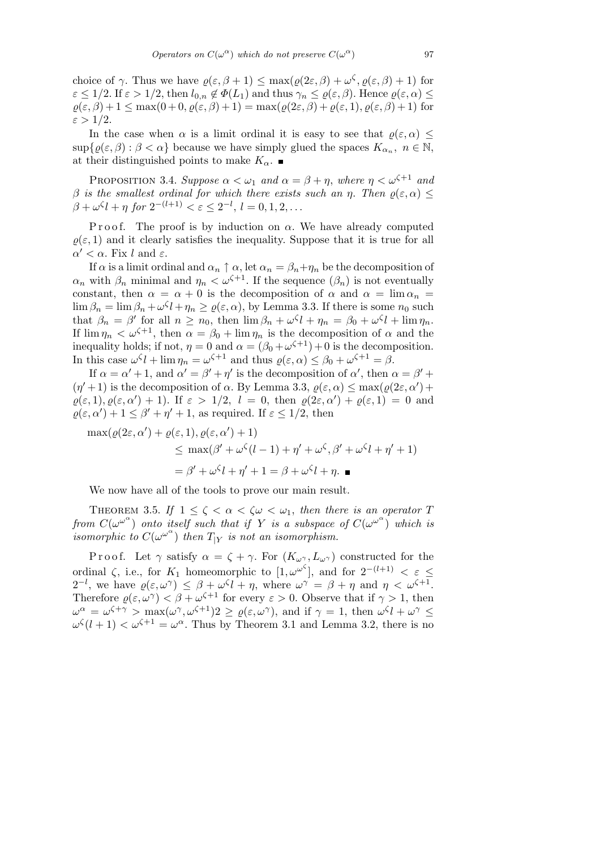choice of *γ*. Thus we have  $\varrho(\varepsilon,\beta+1) \leq \max(\varrho(2\varepsilon,\beta) + \omega^{\zeta}, \varrho(\varepsilon,\beta)+1)$  for  $\varepsilon \leq 1/2$ . If  $\varepsilon > 1/2$ , then  $l_{0,n} \notin \Phi(L_1)$  and thus  $\gamma_n \leq \varrho(\varepsilon,\beta)$ . Hence  $\varrho(\varepsilon,\alpha) \leq$  $\rho(\varepsilon, \beta) + 1 \leq \max(0 + 0, \rho(\varepsilon, \beta) + 1) = \max(\rho(2\varepsilon, \beta) + \rho(\varepsilon, 1), \rho(\varepsilon, \beta) + 1)$  for  $\varepsilon > 1/2$ *.* 

In the case when  $\alpha$  is a limit ordinal it is easy to see that  $\rho(\varepsilon, \alpha) \leq$  $\sup\{\varrho(\varepsilon,\beta): \beta < \alpha\}$  because we have simply glued the spaces  $K_{\alpha_n}$ ,  $n \in \mathbb{N}$ , at their distinguished points to make  $K_{\alpha}$ .

PROPOSITION 3.4. *Suppose*  $\alpha < \omega_1$  *and*  $\alpha = \beta + \eta$ *, where*  $\eta < \omega^{\zeta+1}$  *and β is the smallest ordinal for which there exists such an η. Then*  $ρ(ε, α) ≤$  $\beta + \omega^{\zeta}l + \eta$  for  $2^{-(l+1)} < \varepsilon \leq 2^{-l}, l = 0, 1, 2, \dots$ 

P r o o f. The proof is by induction on  $\alpha$ . We have already computed  $\rho(\varepsilon, 1)$  and it clearly satisfies the inequality. Suppose that it is true for all  $α' < α$ . Fix *l* and  $ε$ .

If  $\alpha$  is a limit ordinal and  $\alpha_n \uparrow \alpha$ , let  $\alpha_n = \beta_n + \eta_n$  be the decomposition of  $\alpha_n$  with  $\beta_n$  minimal and  $\eta_n < \omega^{\zeta+1}$ . If the sequence  $(\beta_n)$  is not eventually constant, then  $\alpha = \alpha + 0$  is the decomposition of  $\alpha$  and  $\alpha = \lim \alpha_n =$  $\lim_{n \to \infty} \beta_n = \lim_{n \to \infty} \beta_n + \omega^{\zeta} l + \eta_n \ge \varrho(\varepsilon, \alpha)$ , by Lemma 3.3. If there is some  $n_0$  such that  $\beta_n = \beta'$  for all  $n \ge n_0$ , then  $\lim \beta_n + \omega^{\zeta} l + \eta_n = \beta_0 + \omega^{\zeta} l + \lim \eta_n$ . If  $\lim \eta_n < \omega^{\zeta+1}$ , then  $\alpha = \beta_0 + \lim \eta_n$  is the decomposition of  $\alpha$  and the inequality holds; if not,  $\eta = 0$  and  $\alpha = (\beta_0 + \omega^{\zeta+1}) + 0$  is the decomposition. In this case  $\omega^{\zeta} l + \lim \eta_n = \omega^{\zeta+1}$  and thus  $\varrho(\varepsilon, \alpha) \leq \beta_0 + \omega^{\zeta+1} = \beta$ .

If  $\alpha = \alpha' + 1$ , and  $\alpha' = \beta' + \eta'$  is the decomposition of  $\alpha'$ , then  $\alpha = \beta' + \eta'$  $(\eta' + 1)$  is the decomposition of  $\alpha$ . By Lemma 3.3,  $\rho(\varepsilon, \alpha) \leq \max(\rho(2\varepsilon, \alpha') + \rho(2\varepsilon, \alpha')$  $\varrho(\varepsilon, 1), \varrho(\varepsilon, \alpha') + 1$ *).* If  $\varepsilon > 1/2$ ,  $l = 0$ , then  $\varrho(2\varepsilon, \alpha') + \varrho(\varepsilon, 1) = 0$  and  $\varrho(\varepsilon, \alpha') + 1 \leq \beta' + \eta' + 1$ , as required. If  $\varepsilon \leq 1/2$ , then

$$
\max(\varrho(2\varepsilon,\alpha') + \varrho(\varepsilon,1), \varrho(\varepsilon,\alpha') + 1)
$$
  
\n
$$
\leq \max(\beta' + \omega^{\zeta}(l-1) + \eta' + \omega^{\zeta}, \beta' + \omega^{\zeta}l + \eta' + 1)
$$
  
\n
$$
= \beta' + \omega^{\zeta}l + \eta' + 1 = \beta + \omega^{\zeta}l + \eta.
$$

We now have all of the tools to prove our main result.

THEOREM 3.5. *If*  $1 \le \zeta < \alpha < \zeta \omega < \omega_1$ , then there is an operator T *from*  $C(\omega^{\omega^{\alpha}})$  *onto itself such that if Y is a subspace of*  $C(\omega^{\omega^{\alpha}})$  *which is*  $\sum_{i=1}^{n}$  *isomorphic to*  $C(\omega^{\omega^{\alpha}})$  *then*  $T_{|Y}$  *is not an isomorphism.* 

Proof. Let  $\gamma$  satisfy  $\alpha = \zeta + \gamma$ . For  $(K_{\omega}, L_{\omega})$  constructed for the ordinal  $\zeta$ , i.e., for  $K_1$  homeomorphic to  $[1, \omega^{\omega^{\zeta}}]$ , and for  $2^{-(l+1)} < \varepsilon \leq$  $2^{-l}$ , we have  $\varrho(\varepsilon, \omega^{\gamma}) \leq \beta + \omega^{\zeta}l + \eta$ , where  $\omega^{\gamma} = \beta + \eta$  and  $\eta < \omega^{\zeta+1}$ . Therefore  $\varrho(\varepsilon, \omega^{\gamma}) < \beta + \omega^{\zeta+1}$  for every  $\varepsilon > 0$ . Observe that if  $\gamma > 1$ , then  $\omega^{\alpha} = \omega^{\zeta + \gamma} > \max(\omega^{\gamma}, \omega^{\zeta + 1})2 \ge \varrho(\varepsilon, \omega^{\gamma}),$  and if  $\gamma = 1$ , then  $\omega^{\zeta}l + \omega^{\gamma} \le$  $\omega^{\zeta}(l+1) < \omega^{\zeta+1} = \omega^{\alpha}$ . Thus by Theorem 3.1 and Lemma 3.2, there is no